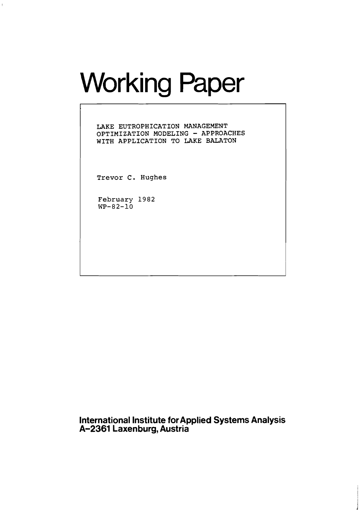# Working Paper

**LAKE EUTROPHICATION MANAGEMENT OPTIMIZATION MODELING** - **APPROACHES WITH APPLICATION TO LAKE BALATON** 

**Trevor C. Hughes** 

**February 1982 WP-82-10** 

**International Institute for Applied Systems Analysis A-2361 Laxenburg, Austria**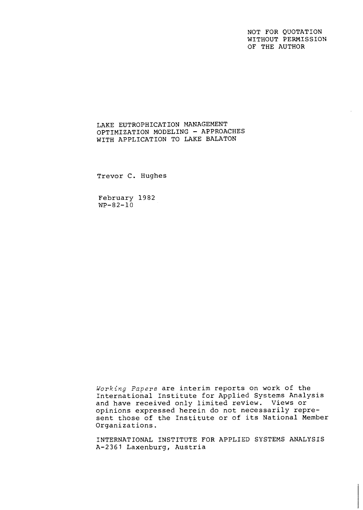NOT FOR QUOTATION WITHOUT PERMISSION OF THE AUTHOR

# LAKE EUTROPHICATION MANAGEMENT OPTIMIZATION MODELING - APPROACHES WITH APPLICATION TO LAKE BALATON

Trevor C. Hughes

February 1982  $WP - 82 - 10$ 

**Working** Papers are interim reports on work of the International Institute for Applied Systems Analysis and have received only limited review. Views or opinions expressed herein do not necessarily represent those of the Institute or of its National Member Organizations.

INTERNATIONAL INSTITUTE FOR APPLIED SYSTEMS ANALYSIS A-2361 Laxenburg, Austria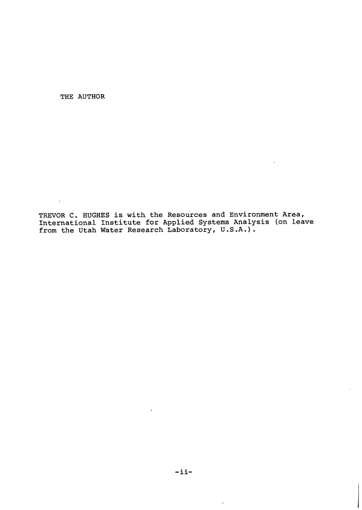THE AUTHOR

 $\sim 10^7$ 

 $\sim 10$ 

 $\sim$   $\sim$ 

TREVOR C. HUGHES is with the Resources and Environment Area, International Institute for Applied Systems Analysis (on leave from the Utah Water Research Laboratory, U.S.A.).

 $\mathcal{A}_{\rm{int}}$ 

 $\overline{a}$ 

 $\ddot{\phantom{a}}$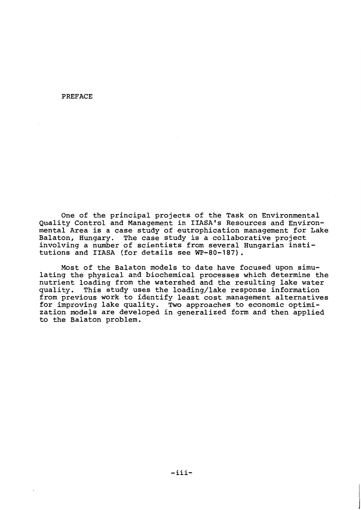#### **PREFACE**

One of the principal projects of the Task on Environmental Quality Control and Management in IIASA's Resources and Environmental Area is a case study of eutrophication management for Lake Balaton, Hungary. The case study is a collaborative project involving a number of scientists from several Hungarian institutions and IIASA (for details see WP-80-187).

Most of the Balaton models to date have focused upon simulating the physical and biochemical processes which determine the nutrient loading from the watershed and the resulting lake water This study uses the loading/lake response information quality. from previous work to identify least cost management alternatives for improving lake quality. Two approaches to economic optimization models are developed in generalized form and then applied to the Balaton problem.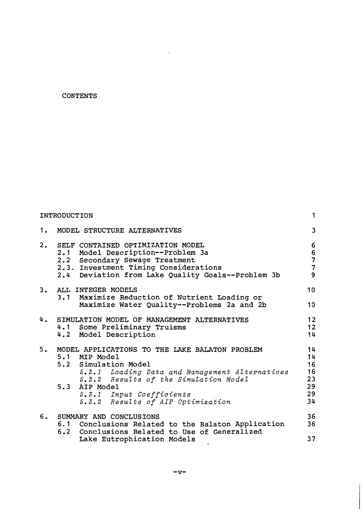# **CONTENTS**

 $\mathcal{L}_{\text{max}}$ 

|    | INTRODUCTION                                                                                                                                                                                                                                                         | $\cdot$ 1                                                           |
|----|----------------------------------------------------------------------------------------------------------------------------------------------------------------------------------------------------------------------------------------------------------------------|---------------------------------------------------------------------|
|    | 1. MODEL STRUCTURE ALTERNATIVES                                                                                                                                                                                                                                      | 3                                                                   |
|    | 2. SELF CONTAINED OPTIMIZATION MODEL<br>2.1 Model Description--Problem 3a<br>2.2 Secondary Sewage Treatment<br>2.3. Investment Timing Considerations<br>2.4 Deviation from Lake Quality Goals--Problem 3b                                                            | $\boldsymbol{6}$<br>$\begin{array}{c} 6 \\ 7 \\ 7 \end{array}$<br>9 |
|    | 3. ALL INTEGER MODELS                                                                                                                                                                                                                                                | 10                                                                  |
|    | 3.1 Maximize Reduction of Nutrient Loading or<br>Maximize Water Quality--Problems 2a and 2b                                                                                                                                                                          | 10                                                                  |
|    | 4. SIMULATION MODEL OF MANAGEMENT ALTERNATIVES<br>4.1 Some Preliminary Truisms<br>4.2 Model Description                                                                                                                                                              | 12<br>12<br>14                                                      |
| 5. | MODEL APPLICATIONS TO THE LAKE BALATON PROBLEM<br>5.1 MIP Model<br>5.2 Simulation Model<br>5.2.1 Loading Data and Management Alternatives<br>5.2.2 Results of the Simulation Model<br>5.3 AIP Model<br>5.3.1 Input Coefficients<br>5.3.2 Results of AIP Optimization | 14<br>14<br>16<br>16<br>23<br>29<br>29<br>34                        |
|    | 6. SUMMARY AND CONCLUSIONS<br>6.1 Conclusions Related to the Balaton Application<br>6.2 Conclusions Related to Use of Generalized                                                                                                                                    | 36<br>36                                                            |
|    | Lake Eutrophication Models                                                                                                                                                                                                                                           | 37                                                                  |

 $\ddot{\phantom{0}}$ 

 $\mathcal{A}^{\mathcal{A}}$ 

 $\mathcal{L}(\mathcal{A})$  , and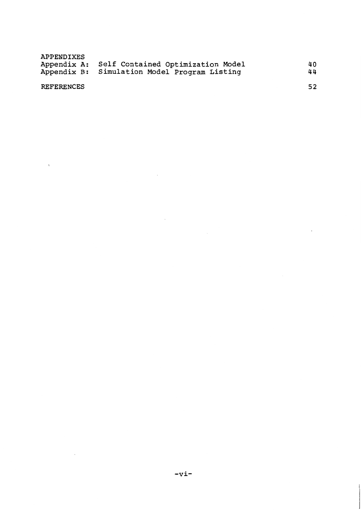| APPENDIXES |                                               |    |
|------------|-----------------------------------------------|----|
|            | Appendix A: Self Contained Optimization Model | 40 |
|            | Appendix B: Simulation Model Program Listing  | 44 |
|            |                                               |    |

 $\ddot{\phantom{a}}$ 

 $\sim$   $\sim$ 

52

# **REFERENCES**

 $\ddot{\phantom{0}}$ 

 $\ddot{\phantom{a}}$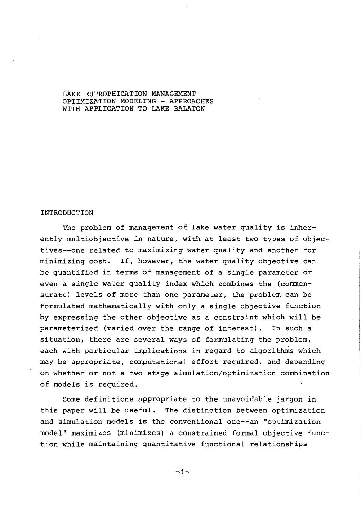## LAKE EUTROPHICATION MANAGEMENT OPTIMIZATION MODELING - APPROACHES WITH APPLICATION TO LAKE BALATON

#### INTRODUCTION

The problem of management of lake water quality is inherently multiobjective in nature, with at least two types of objectives--one related to maximizing water quality and another for minimizing cost. If, however, the water quality objective can be quantified in terms of management of a single parameter or even a single water quality index which combines the (commensurate) levels of more than one parameter, the problem can be formulated mathematically with only a single objective function by expressing the other objective as a constraint which will be parameterized (varied over the range of interest). In such a situation, there are several ways of formulating the problem, each with particular implications in regard to algorithms which may be appropriate, computational effort required, and depending on whether or not a two stage simulation/optimization combination of models is required.

Some definitions appropriate to the unavoidable jargon in this paper will be useful. The distinction between optimization and simulation models is the conventional one--an "optimization model" maximizes (minimizes) a constrained formal objective function while maintaining quantitative functional relationships

 $-1-$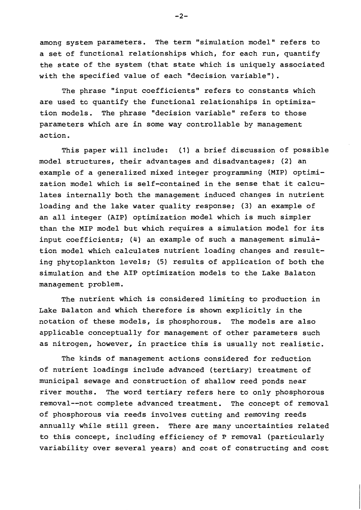among system parameters. The term "simulation model" refers to a set of functional relationships which, for each run, quantify the state of the system (that state which is uniquely associated with the specified value of each "decision variable").

The phrase "input coefficients" refers to constants which are used to quantify the functional relationships in optimization models. The phrase "decision variable" refers to those parameters which are in some way controllable by management action.

This paper will include: (1) a brief discussion of possible model structures, their advantages and disadvantages; (2) an example of a generalized mixed integer programming (MIP) optimization model which is self-contained in the sense that it calculates internally both the management induced changes in nutrient loading and the lake water quality response; (3) an example of an all integer (AIP) optimization model which is much simpler than the MIP model but which requires a simulation model for its input coefficients; (4) an example of such a management simulation model which calculates nutrient loading changes and resulting phytoplankton levels; (5) results of application of both the simulation and the AIP optimization models to the Lake Balaton management problem.

The nutrient which is considered limiting to production in Lake Balaton and which therefore is shown explicitly in the notation of these models, is phosphorous. The models are also applicable conceptually for management of other parameters such as nitrogen, however, in practice this is usually not realistic.

The kinds of management actions considered for reduction of nutrient loadings include advanced (tertiary) treatment of municipal sewage and construction of shallow reed ponds near The word tertiary refers here to only phosphorous river mouths. removal--not complete advanced treatment. The concept of removal of phosphorous via reeds involves cutting and removing reeds annually while still green. There are many uncertainties related to this concept, including efficiency of P removal (particularly variability over several years) and cost of constructing and cost

 $-2-$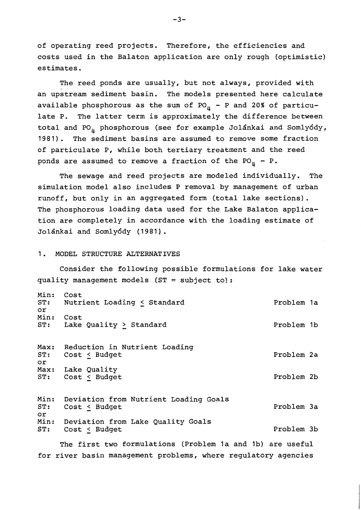of operating reed projects. Therefore, the efficiencies and costs used in the Balaton application are only rough (optimistic) estimates.

The reed ponds are usually, but not always, provided with an upstream sediment basin. The models presented here calculate available phosphorous as the sum of  $PO_{\mu}$  - P and 20% of particulate P. The latter term is approximately the difference between total and PO<sub>n</sub> phosphorous (see for example Jolánkai and Somlyódy, The sediment basins are assumed to remove some fraction  $1981$ . of particulate P, while both tertiary treatment and the reed ponds are assumed to remove a fraction of the  $PO_{n} - P$ .

The sewage and reed projects are modeled individually. The simulation model also includes P removal by management of urban runoff, but only in an aggregated form (total lake sections). The phosphorous loading data used for the Lake Balaton application are completely in accordance with the loading estimate of Jolánkai and Somlyódy (1981).

#### MODEL STRUCTURE ALTERNATIVES  $1<sub>1</sub>$

Consider the following possible formulations for lake water quality management models (ST = subject to):

| Min:<br>ST:<br>or | Cost<br>Nutrient Loading $\leq$ Standard                 | Problem 1a |  |
|-------------------|----------------------------------------------------------|------------|--|
| Min:<br>ST:       | Cost<br>Lake Quality $\geq$ Standard                     | Problem 1b |  |
| Max:<br>ST:<br>or | Reduction in Nutrient Loading<br>Cost $\leq$ Budget      | Problem 2a |  |
|                   | Max: Lake Quality<br>ST: Cost < Budget                   | Problem 2b |  |
| Min:<br>ST:<br>or | Deviation from Nutrient Loading Goals<br>$Cost <$ Budget | Problem 3a |  |
| Min:<br>ST:       | Deviation from Lake Quality Goals<br>Cost < Budget       | Problem 3b |  |

The first two formulations (Problem 1a and 1b) are useful for river basin management problems, where requlatory agencies

 $-3-$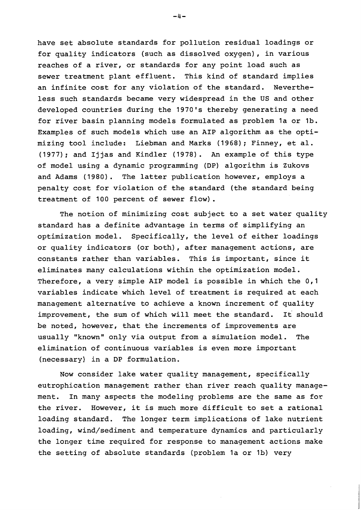have set absolute standards for pollution residual loadings or for quality indicators (such as dissolved oxygen), in various reaches of a river, or standards for any point load such as sewer treatment plant effluent. This kind of standard implies an infinite cost for any violation of the standard. Nevertheless such standards became very widespread in the US and other developed countries during the 1970's thereby generating a need for river basin planning models formulated as problem 1a or 1b. Examples of such models which use an AIP algorithm as the optimizing tool include: Liebman and Marks (1968); Finney, et al. (1977); and Ijjas and Kindler (1978). An example of this type of model using a dynamic programming (DP) algorithm is Zukovs and Adams (1980). The latter publication however, employs a penalty cost for violation of the standard (the standard being treatment of 100 percent of sewer flow).

The notion of minimizing cost subject to a set water quality standard has a definite advantage in terms of simplifying an optimization model. Specifically, the level of either loadings or quality indicators (or both), after management actions, are constants rather than variables. This is important, since it eliminates many calculations within the optimization model. Therefore, a very simple AIP model is possible in which the 0,1 variables indicate which level of treatment is required at each management alternative to achieve a known increment of quality improvement, the sum of which will meet the standard. It should be noted, however, that the increments of improvements are usually "known" only via output from a simulation model. The elimination of continuous variables is even more important (necessary) in a DP formulation.

Now consider lake water quality management, specifically eutrophication management rather than river reach quality manage-In many aspects the modeling problems are the same as for ment. However, it is much more difficult to set a rational the river. loading standard. The longer term implications of lake nutrient loading, wind/sediment and temperature dynamics and particularly the longer time required for response to management actions make the setting of absolute standards (problem 1a or 1b) very

 $-4-$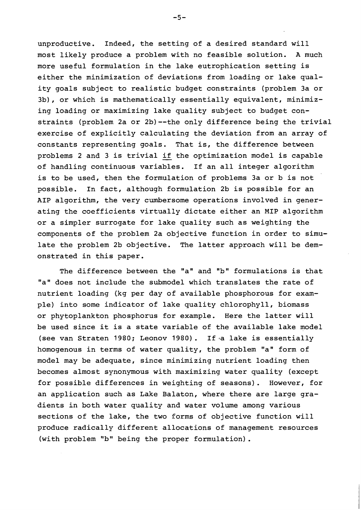unproductive. Indeed, the setting of a desired standard will most likely produce a problem with no feasible solution. A much more useful formulation in the lake eutrophication setting is either the minimization of deviations from loading or lake quality goals subject to realistic budget constraints (problem 3a or 3b), or which is mathematically essentially equivalent, minimizing loading or maximizing lake quality subject to budget constraints (problem 2a or 2b)--the only difference being the trivial exercise of explicitly calculating the deviation from an array of constants representing goals. That is, the difference between problems 2 and 3 is trivial if the optimization model is capable of handling continuous variables. If an all integer algorithm is to be used, then the formulation of problems 3a or b is not possible. In fact, although formulation 2b is possible for an AIP algorithm, the very cumbersome operations involved in generating the coefficients virtually dictate either an MIP algorithm or a simpler surrogate for lake quality such as weighting the components of the problem 2a objective function in order to simulate the problem 2b objective. The latter approach will be demonstrated in this paper.

The difference between the "a" and "b" formulations is that "a" does not include the submodel which translates the rate of nutrient loading (kg per day of available phosphorous for example) into some indicator of lake quality chlorophyll, biomass or phytoplankton phosphorus for example. Here the latter will be used since it is a state variable of the available lake model (see van Straten 1980; Leonov 1980). If a lake is essentially homogenous in terms of water quality, the problem "a" form of model may be adequate, since minimizing nutrient loading then becomes almost synonymous with maximizing water quality (except for possible differences in weighting of seasons). However, for an application such as Lake Balaton, where there are large gradients in both water quality and water volume among various sections of the lake, the two forms of objective function will produce radically different allocations of management resources (with problem "b" being the proper formulation).

 $-5-$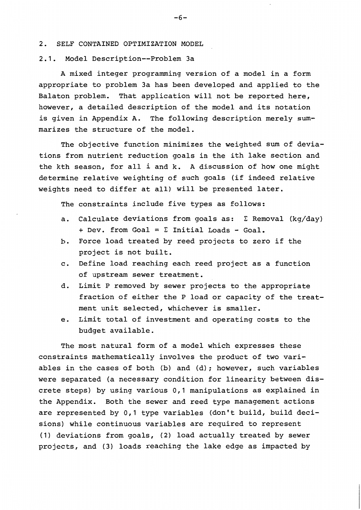## 2. SELF CONTAINED OPTIMIZATION MODEL

## 2.1. Model Description -- Problem 3a

A mixed integer programming version of a model in a form appropriate to problem 3a has been developed and applied to the Balaton problem. That application will not be reported here, however, a detailed description of the model and its notation is given in Appendix A. The following description merely summarizes the structure of the model.

The objective function minimizes the weighted sum of deviations from nutrient reduction goals in the ith lake section and the kth season, for all i and k. A discussion of how one might determine relative weighting of such goals (if indeed relative weights need to differ at all) will be presented later.

The constraints include five types as follows:

- Calculate deviations from goals as:  $\Sigma$  Removal (kg/day) a. + Dev. from Goal =  $\Sigma$  Initial Loads - Goal.
- $b<sub>1</sub>$ Force load treated by reed projects to zero if the project is not built.
- c. Define load reaching each reed project as a function of upstream sewer treatment.
- Limit P removed by sewer projects to the appropriate d. fraction of either the P load or capacity of the treatment unit selected, whichever is smaller.
- Limit total of investment and operating costs to the e. budget available.

The most natural form of a model which expresses these constraints mathematically involves the product of two variables in the cases of both (b) and (d); however, such variables were separated (a necessary condition for linearity between discrete steps) by using various 0,1 manipulations as explained in the Appendix. Both the sewer and reed type management actions are represented by 0,1 type variables (don't build, build decisions) while continuous variables are required to represent (1) deviations from goals, (2) load actually treated by sewer projects, and (3) loads reaching the lake edge as impacted by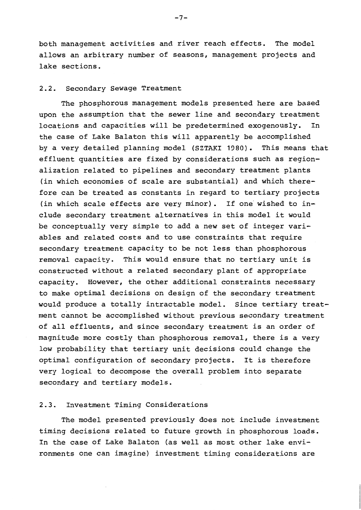both management activities and river reach effects. The model allows an arbitrary number of seasons, management projects and lake sections.

# 2.2. Secondary Sewage Treatment

The phosphorous management models presented here are based upon the assumption that the sewer line and secondary treatment locations and capacities will be predetermined exogenously. In the case of Lake Balaton this will apparently be accomplished by a very detailed planning model (SZTAKI 1980). This means that effluent quantities are fixed by considerations such as regionalization related to pipelines and secondary treatment plants (in which economies of scale are substantial) and which therefore can be treated as constants in regard to tertiary projects (in which scale effects are very minor). If one wished to include secondary treatment alternatives in this model it would be conceptually very simple to add a new set of integer variables and related costs and to use constraints that require secondary treatment capacity to be not less than phosphorous removal capacity. This would ensure that no tertiary unit is constructed without a related secondary plant of appropriate capacity. However, the other additional constraints necessary to make optimal decisions on design of the secondary treatment would produce a totally intractable model. Since tertiary treatment cannot be accomplished without previous secondary treatment of all effluents, and since secondary treatment is an order of magnitude more costly than phosphorous removal, there is a very low probability that tertiary unit decisions could change the optimal configuration of secondary projects. It is therefore very logical to decompose the overall problem into separate secondary and tertiary models.

# 2.3. Investment Timing Considerations

The model presented previously does not include investment timing decisions related to future growth in phosphorous loads. In the case of Lake Balaton (as well as most other lake environments one can imagine) investment timing considerations are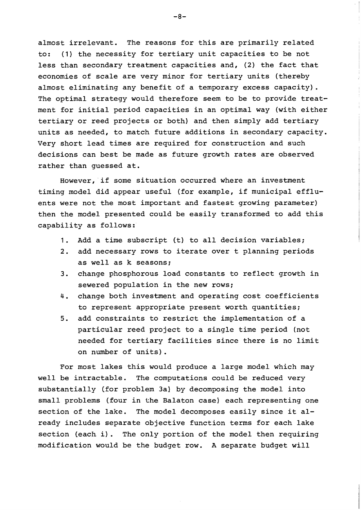almost irrelevant. The reasons for this are primarily related (1) the necessity for tertiary unit capacities to be not to: less than secondary treatment capacities and, (2) the fact that economies of scale are very minor for tertiary units (thereby almost eliminating any benefit of a temporary excess capacity). The optimal strategy would therefore seem to be to provide treatment for initial period capacities in an optimal way (with either tertiary or reed projects or both) and then simply add tertiary units as needed, to match future additions in secondary capacity. Very short lead times are required for construction and such decisions can best be made as future growth rates are observed rather than quessed at.

However, if some situation occurred where an investment timing model did appear useful (for example, if municipal effluents were not the most important and fastest growing parameter) then the model presented could be easily transformed to add this capability as follows:

- Add a time subscript (t) to all decision variables;  $1.$
- $2.$ add necessary rows to iterate over t planning periods as well as k seasons;
- change phosphorous load constants to reflect growth in  $3.$ sewered population in the new rows;
- change both investment and operating cost coefficients  $4.$ to represent appropriate present worth quantities;
- $5.$ add constraints to restrict the implementation of a particular reed project to a single time period (not needed for tertiary facilities since there is no limit on number of units).

For most lakes this would produce a large model which may well be intractable. The computations could be reduced very substantially (for problem 3a) by decomposing the model into small problems (four in the Balaton case) each representing one section of the lake. The model decomposes easily since it already includes separate objective function terms for each lake section (each i). The only portion of the model then requiring modification would be the budget row. A separate budget will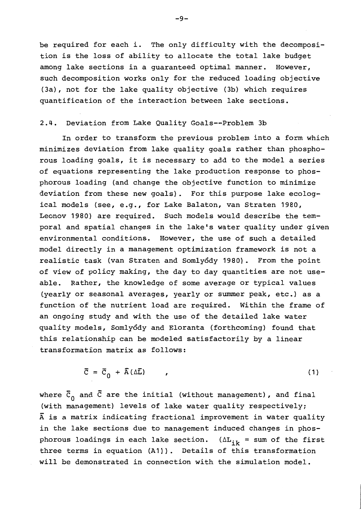be required for each i. The only difficulty with the decomposition is the loss of ability to allocate the total lake budget among lake sections in a quaranteed optimal manner. However, such decomposition works only for the reduced loading objective (3a), not for the lake quality objective (3b) which requires quantification of the interaction between lake sections.

# 2.4. Deviation from Lake Quality Goals--Problem 3b

In order to transform the previous problem into a form which minimizes deviation from lake quality goals rather than phosphorous loading goals, it is necessary to add to the model a series of equations representing the lake production response to phosphorous loading (and change the objective function to minimize deviation from these new goals). For this purpose lake ecological models (see, e.g., for Lake Balaton, van Straten 1980, Leonov 1980) are required. Such models would describe the temporal and spatial changes in the lake's water quality under given environmental conditions. However, the use of such a detailed model directly in a management optimization framework is not a realistic task (van Straten and Somlyódy 1980). From the point of view of policy making, the day to day quantities are not useable. Rather, the knowledge of some average or typical values (yearly or seasonal averages, yearly or summer peak, etc.) as a function of the nutrient load are required. Within the frame of an ongoing study and with the use of the detailed lake water quality models, Somlyódy and Eloranta (forthcoming) found that this relationship can be modeled satisfactorily by a linear transformation matrix as follows:

$$
\overline{C} = \overline{C}_0 + \overline{A} (\Delta \overline{L}) \tag{1}
$$

where  $\bar{c}_0$  and  $\bar{c}$  are the initial (without management), and final (with management) levels of lake water quality respectively;  $\overline{A}$  is a matrix indicating fractional improvement in water quality in the lake sections due to management induced changes in phosphorous loadings in each lake section. ( $\Delta L_{ik}$  = sum of the first three terms in equation (A1)). Details of this transformation will be demonstrated in connection with the simulation model.

 $-9-$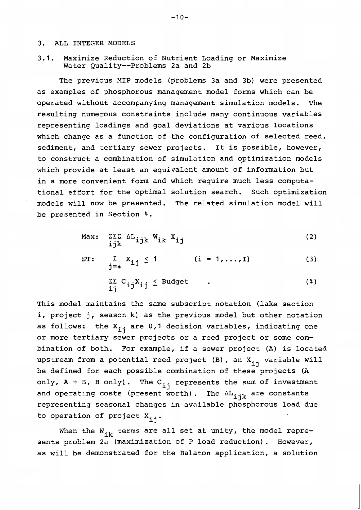#### $3<sub>1</sub>$ ALL INTEGER MODELS

 $3.1.$ Maximize Reduction of Nutrient Loading or Maximize Water Quality--Problems 2a and 2b

The previous MIP models (problems 3a and 3b) were presented as examples of phosphorous management model forms which can be operated without accompanying management simulation models. The resulting numerous constraints include many continuous variables representing loadings and goal deviations at various locations which change as a function of the configuration of selected reed, sediment, and tertiary sewer projects. It is possible, however, to construct a combination of simulation and optimization models which provide at least an equivalent amount of information but in a more convenient form and which require much less computational effort for the optimal solution search. Such optimization models will now be presented. The related simulation model will be presented in Section 4.

$$
\text{Max:} \quad \sum_{i \in k} \sum_{i \in k} M_{ijk} W_{ik} X_{ij} \tag{2}
$$

ST: 
$$
\sum_{j=\ast} X_{ij} \le 1 \qquad (i = 1,...,1)
$$
(3)  

$$
\sum_{i,j} \sum_{j} C_{ij} X_{ij} \le \text{Budget} \qquad .
$$
(4)

This model maintains the same subscript notation (lake section i, project j, season k) as the previous model but other notation as follows: the X<sub>ij</sub> are 0,1 decision variables, indicating one or more tertiary sewer projects or a reed project or some combination of both. For example, if a sewer project (A) is located upstream from a potential reed project (B), an X<sub>ij</sub> variable will be defined for each possible combination of these projects (A only,  $A + B$ ,  $B$  only). The  $C_{i,j}$  represents the sum of investment and operating costs (present worth). The  $\Delta L_{i\,jk}$  are constants representing seasonal changes in available phosphorous load due to operation of project  $x_{i,j}$ .

When the  $W_{ik}$  terms are all set at unity, the model represents problem 2a (maximization of P load reduction). However, as will be demonstrated for the Balaton application, a solution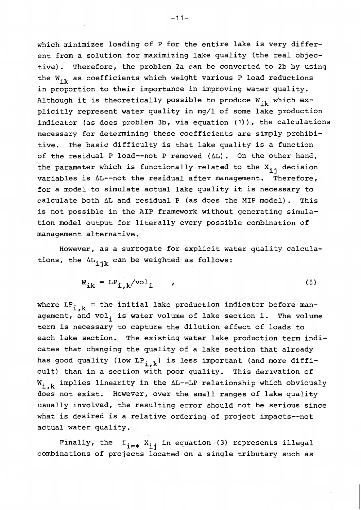which minimizes loading of P for the entire lake is very different from a solution for maximizing lake quality (the real objective). Therefore, the problem 2a can be converted to 2b by using the  $W_{ik}$  as coefficients which weight various P load reductions in proportion to their importance in improving water quality. Although it is theoretically possible to produce  $W_{i k}$  which explicitly represent water quality in mg/l of some lake production indicator (as does problem 3b, via equation (1)), the calculations necessary for determining these coefficients are simply prohibi-The basic difficulty is that lake quality is a function tive. of the residual P load--not P removed (AL). On the other hand, the parameter which is functionally related to the  $X_{i,j}$  decision variables is AL--not the residual after management. Therefore, for a model to simulate actual lake quality it is necessary to calculate both  $\Delta L$  and residual P (as does the MIP model). This is not possible in the AIP framework without generating simulation model output for literally every possible combination of management alternative.

However, as a surrogate for explicit water quality calculations, the  $\Delta L_{i,j,k}$  can be weighted as follows:

$$
W_{ik} = LP_{i,k}/vol_i \qquad (5)
$$

where  $LP_{i,k}$  = the initial lake production indicator before management, and vol, is water volume of lake section i. The volume term is necessary to capture the dilution effect of loads to each lake section. The existing water lake production term indicates that changing the quality of a lake section that already has good quality (low LP<sub>ik</sub>) is less important (and more difficult) than in a section with poor quality. This derivation of  $W_{i,k}$  implies linearity in the  $\Delta L$ --LP relationship which obviously does not exist. However, over the small ranges of lake quality usually involved, the resulting error should not be serious since what is desired is a relative ordering of project impacts--not actual water quality.

Finally, the  $\Sigma_{i=*}$   $X_{i,j}$  in equation (3) represents illegal combinations of projects located on a single tributary such as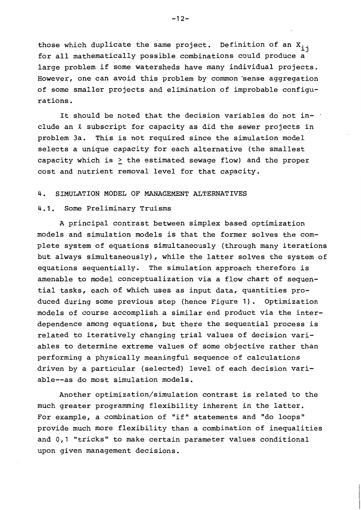those which duplicate the same project. Definition of an X<sub>ii</sub> for all mathematically possible combinations could produce a large problem if some watersheds have many individual projects. However, one can avoid this problem by common sense aggregation of some smaller projects and elimination of improbable configurations.

It should be noted that the decision variables do not include an  $\ell$  subscript for capacity as did the sewer projects in problem 3a. This is not required since the simulation model selects a unique capacity for each alternative (the smallest capacity which is > the estimated sewage flow) and the proper cost and nutrient removal level for that capacity.

#### 4. SIMULATION MODEL OF MANAGEMENT ALTERNATIVES

# 4.1. Some Preliminary Truisms

A principal contrast between simplex based optimization models and simulation models is that the former solves the complete system of equations simultaneously (through many iterations but always simultaneously), while the latter solves the system of equations sequentially. The simulation approach therefore is amenable to model conceptualization via a flow chart of sequential tasks, each of which uses as input data, quantities produced during some previous step (hence Figure 1). Optimization models of course accomplish a similar end product via the interdependence among equations, but there the sequential process is related to iteratively changing trial values of decision variables to determine extreme values of some objective rather than performing a physically meaningful sequence of calculations driven by a particular (selected) level of each decision variable--as do most simulation models.

Another optimization/simulation contrast is related to the much greater programming flexibility inherent in the latter. For example, a combination of "if" statements and "do loops" provide much more flexibility than a combination of inequalities and 0,1 "tricks" to make certain parameter values conditional upon given management decisions.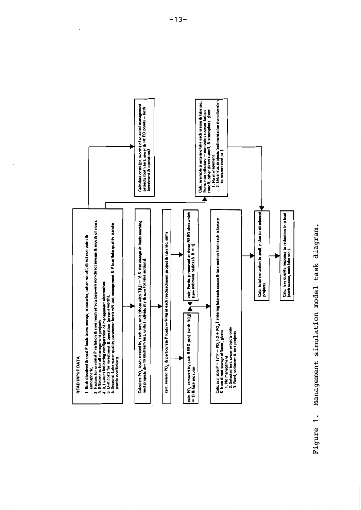

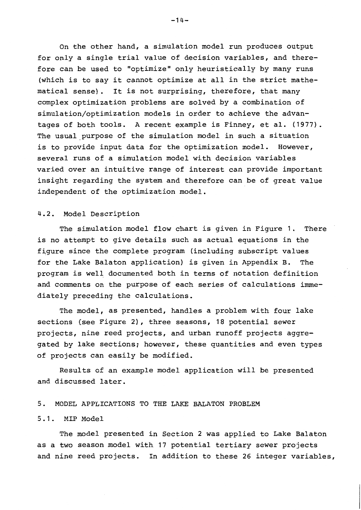On the other hand, a simulation model run produces output for only a single trial value of decision variables, and therefore can be used to "optimize" only heuristically by many runs (which is to say it cannot optimize at all in the strict mathematical sense). It is not surprising, therefore, that many complex optimization problems are solved by a combination of simulation/optimization models in order to achieve the advantages of both tools. A recent example is Finney, et al. (1977). The usual purpose of the simulation model in such a situation is to provide input data for the optimization model. However, several runs of a simulation model with decision variables varied over an intuitive range of interest can provide important insight regarding the system and therefore can be of great value independent of the optimization model.

# 4.2. Model Description

The simulation model flow chart is given in Figure 1. There is no attempt to give details such as actual equations in the figure since the complete program (including subscript values for the Lake Balaton application) is given in Appendix B. The program is well documented both in terms of notation definition and comments on the purpose of each series of calculations immediately preceding the calculations.

The model, as presented, handles a problem with four lake sections (see Figure 2), three seasons, 18 potential sewer projects, nine reed projects, and urban runoff projects aggregated by lake sections; however, these quantities and even types of projects can easily be modified.

Results of an example model application will be presented and discussed later.

#### MODEL APPLICATIONS TO THE LAKE BALATON PROBLEM  $5<sub>1</sub>$

# 5.1. MIP Model

The model presented in Section 2 was applied to Lake Balaton as a two season model with 17 potential tertiary sewer projects and nine reed projects. In addition to these 26 integer variables,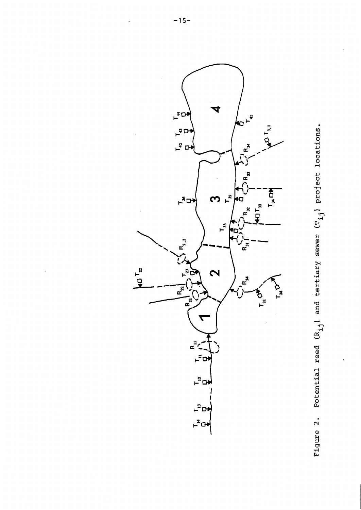

Figure 2. Potential reed  $(R_{i,j}]$  and tertiary sewer  $(T_{i,j})$  project locations.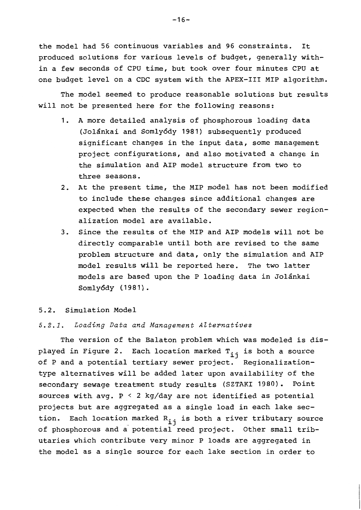the model had 56 continuous variables and 96 constraints. It produced solutions for various levels of budget, generally within a few seconds of CPU time, but took over four minutes CPU at one budget level on a CDC system with the APEX-III MIP algorithm.

The model seemed to produce reasonable solutions but results will not be presented here for the following reasons:

- A more detailed analysis of phosphorous loading data  $1.$ (Jolánkai and Somlyódy 1981) subsequently produced significant changes in the input data, some management project configurations, and also motivated a change in the simulation and AIP model structure from two to three seasons.
- 2. At the present time, the MIP model has not been modified to include these changes since additional changes are expected when the results of the secondary sewer regionalization model are available.
- Since the results of the MIP and AIP models will not be  $3.$ directly comparable until both are revised to the same problem structure and data, only the simulation and AIP model results will be reported here. The two latter models are based upon the P loading data in Jolánkai Somlyódy (1981).

#### 5.2. Simulation Model

# 5.2.1. Loading Data and Management Alternatives

The version of the Balaton problem which was modeled is displayed in Figure 2. Each location marked T<sub>ij</sub> is both a source of P and a potential tertiary sewer project. Regionalizationtype alternatives will be added later upon availability of the secondary sewage treatment study results (SZTAKI 1980). Point sources with avg.  $P \le 2$  kg/day are not identified as potential projects but are aggregated as a single load in each lake section. Each location marked R<sub>ij</sub> is both a river tributary source of phosphorous and a potential reed project. Other small tributaries which contribute very minor P loads are aggregated in the model as a single source for each lake section in order to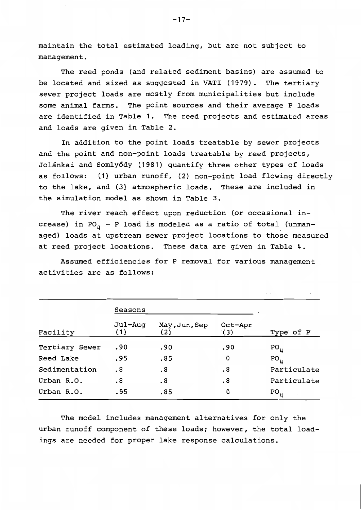maintain the total estimated loading, but are not subject to management.

The reed ponds (and related sediment basins) are assumed to be located and sized as suggested in VATI (1979). The tertiary sewer project loads are mostly from municipalities but include some animal farms. The point sources and their average P loads are identified in Table 1. The reed projects and estimated areas and loads are given in Table 2.

In addition to the point loads treatable by sewer projects and the point and non-point loads treatable by reed projects, Jolánkai and Somlyódy (1981) quantify three other types of loads as follows: (1) urban runoff, (2) non-point load flowing directly to the lake, and (3) atmospheric loads. These are included in the simulation model as shown in Table 3.

The river reach effect upon reduction (or occasional increase) in PO<sub>n</sub> - P load is modeled as a ratio of total (unmanaged) loads at upstream sewer project locations to those measured at reed project locations. These data are given in Table 4.

Assumed efficiencies for P removal for various management activities are as follows:

|                | Seasons        |                       |                       |                 |
|----------------|----------------|-----------------------|-----------------------|-----------------|
| Facility       | Jul-Aug<br>(1) | May, Jun, Sep<br>(2)  | Oct-Apr<br>(3)        | Type of P       |
| Tertiary Sewer | .90            | .90                   | .90                   | $PO_{\mu}$      |
| Reed Lake      | .95            | .85                   | 0                     | $PO_{\mu}$      |
| Sedimentation  | $\cdot$ 8      | $\boldsymbol{\cdot}8$ | $\boldsymbol{\cdot}8$ | Particulate     |
| Urban R.O.     | $\cdot$ 8      | $\cdot$ 8             | $\cdot$ 8             | Particulate     |
| Urban R.O.     | .95            | .85                   | 0                     | PO <sub>h</sub> |

The model includes management alternatives for only the urban runoff component of these loads; however, the total loadings are needed for proper lake response calculations.

 $-17-$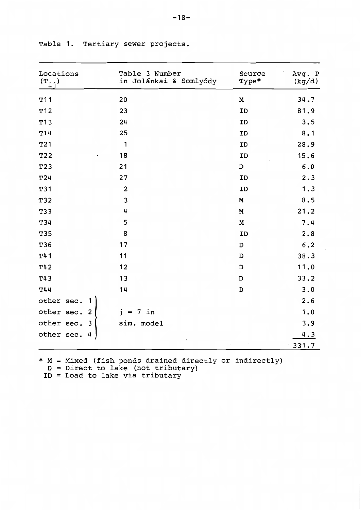| Locations<br>$(\mathbf{T}_{\mathtt{i}\mathtt{j}})$ | Table 3 Number<br>in Jolánkai & Somlyódy | Source<br>Type* | Avg. P<br>(kg/d) |
|----------------------------------------------------|------------------------------------------|-----------------|------------------|
| T11                                                | 20                                       | M               | 34.7             |
| T12                                                | 23                                       | ID              | 81.9             |
| T13                                                | 24                                       | ID              | 3.5              |
| T14                                                | 25                                       | ID              | 8.1              |
| T21                                                | 1                                        | ID              | 28.9             |
| T22                                                | 18                                       | ID              | 15.6             |
| T23                                                | 21                                       | $\mathbf D$     | $6.0$            |
| T24                                                | 27                                       | ID              | 2.3              |
| T31                                                | $\overline{\mathbf{2}}$                  | ID              | 1.3              |
| T32                                                | 3                                        | M               | 8.5              |
| T33                                                | 4                                        | M               | 21.2             |
| T34                                                | 5                                        | M               | 7.4              |
| T35                                                | 8                                        | ID              | 2.8              |
| T36                                                | 17                                       | $\mathbf D$     | $6.2$            |
| T41                                                | 11                                       | $\mathbf D$     | 38.3             |
| T42                                                | 12                                       | D               | 11.0             |
| T43                                                | 13                                       | D               | 33.2             |
| T44                                                | 14                                       | D               | 3.0              |
| other sec.                                         |                                          |                 | 2.6              |
| other sec.<br>$\overline{2}$                       | $7$ in<br>$j =$                          |                 | 1.0              |
| other sec.<br>3                                    | sim. model                               |                 | 3.9              |
| other sec.<br>4                                    |                                          |                 | 4.3              |
|                                                    | A                                        |                 | 331.7            |

Table 1. Tertiary sewer projects.

\*  $M = Mixed$  (fish ponds drained directly or indirectly)<br>  $D = Direct$  to lake (not tributary)<br>  $ID = Load$  to lake via tributary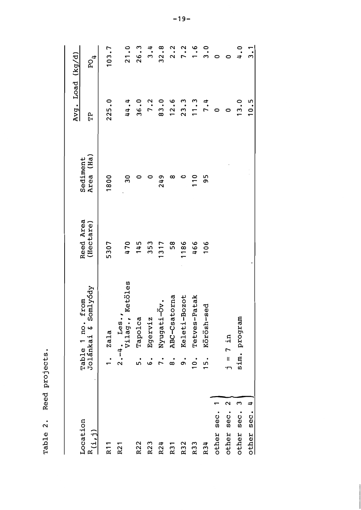|                                    |               |                                           |                        |                          | Avg. Load (kg/d) |                    |
|------------------------------------|---------------|-------------------------------------------|------------------------|--------------------------|------------------|--------------------|
| Location<br>R(i, j)                |               | Table 1 no. from<br>Jolánkai 6 Somlyódy   | Reed Area<br>(Hectare) | (Ha)<br>Sediment<br>Area | ሮኮ               | $P$ O <sub>4</sub> |
| R11                                |               | Zala                                      | 5307                   | 1800                     | 225.0            | 103.7              |
| R21                                |               | <b>Ketöles</b><br>$2.-4.$ Les.<br>Vilag., | 470                    | $\overline{30}$          | 44.4             | 21.0               |
| R22                                | .<br>^י       | Tapolca                                   | 145                    |                          | 36.0             | 26.3               |
| R23                                | .<br>م        | Egerviz                                   | 353                    |                          | 7.2              | 3.4                |
| R24                                |               | Nyugati-Öv.                               | 1317                   | 249                      | 83.0             | 32.8               |
| R31                                | $\dot{\circ}$ | ABC-Csatorna                              | 58                     | ∞                        | 12.6             | 2.2                |
| R32                                | .<br>თ        | Keleti-Bozot                              | 1186                   |                          | 23.3             | 7.2                |
| R33                                | $\frac{1}{0}$ | Tetves-Patak                              | 466                    | $\frac{0}{1}$            | 11.3             | $\frac{6}{1}$      |
| R34                                | 15.           | Körösh-sed                                | 106                    | 95                       | 7.4              | 3.0                |
| sec.<br>other                      |               |                                           |                        |                          |                  |                    |
| $\mathbf{\Omega}$<br>sec.<br>other |               | $= 7$ in                                  |                        |                          |                  |                    |
| other sec. 3                       |               | sim. program                              |                        |                          | 13.0             | 0.4                |
| ¢<br>other sec.                    |               |                                           |                        |                          | 10.5             |                    |
|                                    |               |                                           |                        |                          |                  |                    |

Reed projects.

Table 2.

 $-19-$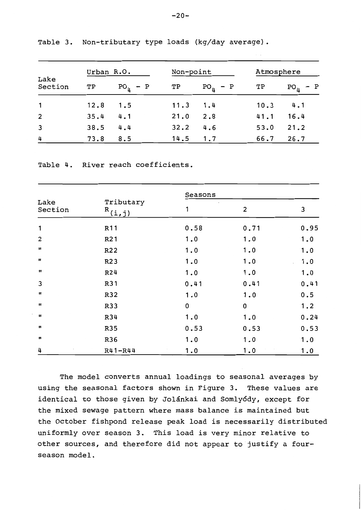|                 | Urban R.O. |                | Non-point |                |      | Atmosphere          |  |  |
|-----------------|------------|----------------|-----------|----------------|------|---------------------|--|--|
| Lake<br>Section | TP         | $PO_{\mu} - P$ | ТP        | $PO_{\mu} - P$ | ТP   | $PO_{\mu}$<br>$-$ P |  |  |
| $\mathbf{1}$    | 12.8       | 1.5            | 11.3      | 1.4            | 10.3 | 4.1                 |  |  |
| $\overline{2}$  | 35.4       | 4.1            | 21.0      | 2.8            | 41.1 | 16.4                |  |  |
| 3               | 38.5       | 4.4            | 32.2      | 4.6            | 53.0 | 21.2                |  |  |
| 4               | 73.8       | 8.5            | 14.5      | 1.7            | 66.7 | 26.7                |  |  |

Table 3. Non-tributary type loads (kg/day average).

Table 4. River reach coefficients.

|                    |                     | Seasons     |                         |      |  |  |  |  |
|--------------------|---------------------|-------------|-------------------------|------|--|--|--|--|
| Lake<br>Section    | Tributary<br>R(i,j) | 1           | $\overline{\mathbf{c}}$ | 3    |  |  |  |  |
| 1                  | R <sub>11</sub>     | 0.58        | 0.71                    | 0.95 |  |  |  |  |
| $\overline{2}$     | R <sub>2</sub> 1    | 1.0         | 1.0                     | 1.0  |  |  |  |  |
| $\mathbf{H}$       | R22                 | 1.0         | 1.0                     | 1.0  |  |  |  |  |
| Ħ                  | R <sub>23</sub>     | 1.0         | 1.0                     | 1.0  |  |  |  |  |
| 11                 | R24                 | 1.0         | 1.0                     | 1.0  |  |  |  |  |
| 3                  | R31                 | 0.41        | 0.41                    | 0.41 |  |  |  |  |
| $\pmb{\mathsf{u}}$ | R32                 | 1.0         | 1.0                     | 0.5  |  |  |  |  |
| 11                 | R33                 | $\mathbf 0$ | $\mathbf 0$             | 1.2  |  |  |  |  |
| u                  | R34                 | 1.0         | 1.0                     | 0.24 |  |  |  |  |
| n                  | R35                 | 0.53        | 0.53                    | 0.53 |  |  |  |  |
| n                  | R36                 | 1.0         | 1.0                     | 1.0  |  |  |  |  |
| 4                  | $R41 - R44$         | 1.0         | 1.0                     | 1.0  |  |  |  |  |

The model converts annual loadings to seasonal averages by using the seasonal factors shown in Figure 3. These values are identical to those given by Jolánkai and Somlyódy, except for the mixed sewage pattern where mass balance is maintained but the October fishpond release peak load is necessarily distributed uniformly over season 3. This load is very minor relative to other sources, and therefore did not appear to justify a fourseason model.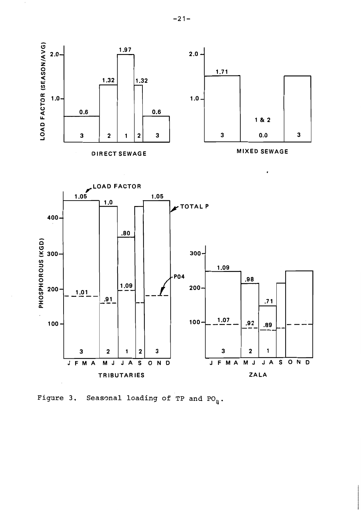

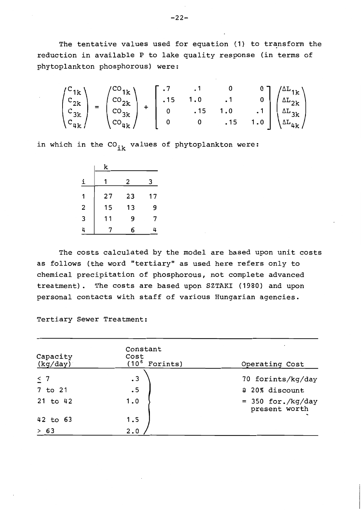The tentative values used for equation (1) to transform the reduction in available P to lake quality response (in terms of phytoplankton phosphorous) were:

$$
\begin{pmatrix}\nC_{1k} \\
C_{2k} \\
C_{3k} \\
C_{4k}\n\end{pmatrix} = \begin{pmatrix}\nC_{1k} \\
C_{2k} \\
C_{3k} \\
C_{4k}\n\end{pmatrix} + \begin{bmatrix}\n.7 & .1 & 0 & 0 \\
.15 & 1.0 & .1 & 0 \\
0 & .15 & 1.0 & .1 \\
0 & 0 & .15 & 1.0\n\end{bmatrix} \begin{pmatrix}\n\Delta L_{1k} \\
\Delta L_{2k} \\
\Delta L_{3k} \\
\Delta L_{4k}\n\end{pmatrix}
$$

in which in the  $CO_{ik}$  values of phytoplankton were:

|   | k  |    |    |
|---|----|----|----|
| ↨ |    | 2  | 3  |
| 1 | 27 | 23 | 17 |
| 2 | 15 | 13 | 9  |
| 3 | 11 | 9  | 7  |
| 4 |    | 6  | 4  |

The costs calculated by the model are based upon unit costs as follows (the word "tertiary" as used here refers only to chemical precipitation of phosphorous, not complete advanced treatment). The costs are based upon SZTAKI (1980) and upon personal contacts with staff of various Hungarian agencies.

Tertiary Sewer Treatment:

| Capacity<br>(kg/day) | Constant<br>Cost<br>$(10^6$ Forints) | Operating Cost                        |
|----------------------|--------------------------------------|---------------------------------------|
| $\leq$ 7             | $\cdot$ 3                            | 70 forints/kg/day                     |
| 7 to 21<br>21 to 42  | $\cdot$ 5<br>1.0                     | a 20% discount<br>$= 350$ for./kg/day |
| 42 to 63             | 1.5                                  | present worth                         |
| > 63                 | 2.0                                  |                                       |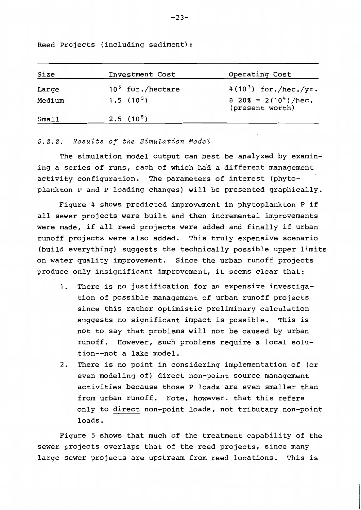Reed Projects (including sediment):

| Size   | Investment Cost              | Operating Cost                                    |
|--------|------------------------------|---------------------------------------------------|
| Large  | 10 <sup>5</sup> for./hectare | 4(10 <sup>3</sup> ) for./hec./yr.                 |
| Medium | $1.5(10^5)$                  | a $20\% = 2(10^4)/\text{hec.}$<br>(present worth) |
| Small  | $2.5(10^5)$                  |                                                   |

## 5.2.2. Results of the Simulation Model

The simulation model output can best be analyzed by examining a series of runs, each of which had a different management activity configuration. The parameters of interest (phytoplankton P and P loading changes) will be presented graphically.

Figure 4 shows predicted improvement in phytoplankton P if all sewer projects were built and then incremental improvements were made, if all reed projects were added and finally if urban runoff projects were also added. This truly expensive scenario (build everything) suggests the technically possible upper limits on water quality improvement. Since the urban runoff projects produce only insignificant improvement, it seems clear that:

- 1. There is no justification for an expensive investigation of possible management of urban runoff projects since this rather optimistic preliminary calculation suggests no significant impact is possible. This is not to say that problems will not be caused by urban runoff. However, such problems require a local solution--not a lake model.
- 2. There is no point in considering implementation of (or even modeling of) direct non-point source management activities because those P loads are even smaller than from urban runoff. Note, however, that this refers only to direct non-point loads, not tributary non-point loads.

Figure 5 shows that much of the treatment capability of the sewer projects overlaps that of the reed projects, since many large sewer projects are upstream from reed locations. This is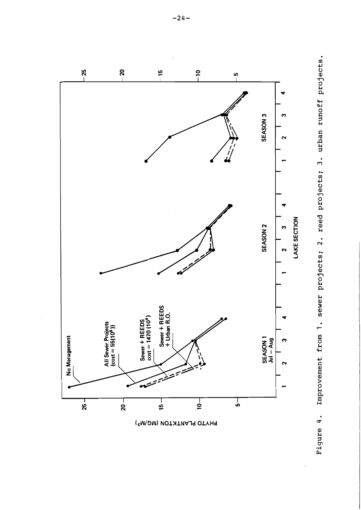

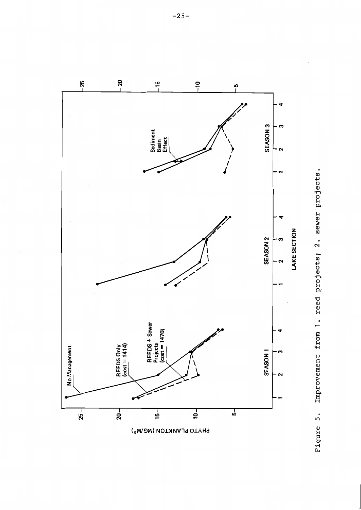

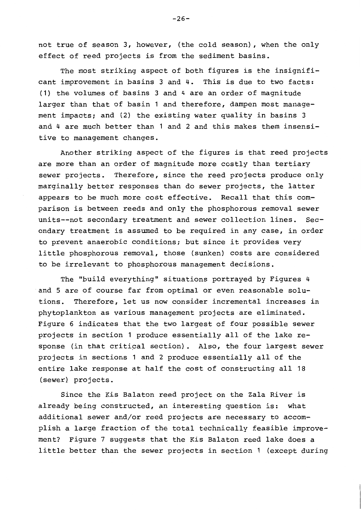not true of season 3, however, (the cold season), when the only effect of reed projects is from the sediment basins.

The most striking aspect of both figures is the insignificant improvement in basins 3 and 4. This is due to two facts: (1) the volumes of basins 3 and 4 are an order of magnitude larger than that of basin 1 and therefore, dampen most management impacts; and (2) the existing water quality in basins 3 and 4 are much better than 1 and 2 and this makes them insensitive to management changes.

Another striking aspect of the figures is that reed projects are more than an order of magnitude more costly than tertiary sewer projects. Therefore, since the reed projects produce only marginally better responses than do sewer projects, the latter appears to be much more cost effective. Recall that this comparison is between reeds and only the phosphorous removal sewer units--not secondary treatment and sewer collection lines. Secondary treatment is assumed to be required in any case, in order to prevent anaerobic conditions; but since it provides very little phosphorous removal, those (sunken) costs are considered to be irrelevant to phosphorous management decisions.

The "build everything" situations portrayed by Figures 4 and 5 are of course far from optimal or even reasonable solutions. Therefore, let us now consider incremental increases in phytoplankton as various management projects are eliminated. Figure 6 indicates that the two largest of four possible sewer projects in section 1 produce essentially all of the lake response (in that critical section). Also, the four largest sewer projects in sections 1 and 2 produce essentially all of the entire lake response at half the cost of constructing all 18 (sewer) projects.

Since the Kis Balaton reed project on the Zala River is already being constructed, an interesting question is: what additional sewer and/or reed projects are necessary to accomplish a large fraction of the total technically feasible improvement? Figure 7 suggests that the Kis Balaton reed lake does a little better than the sewer projects in section 1 (except during

 $-26-$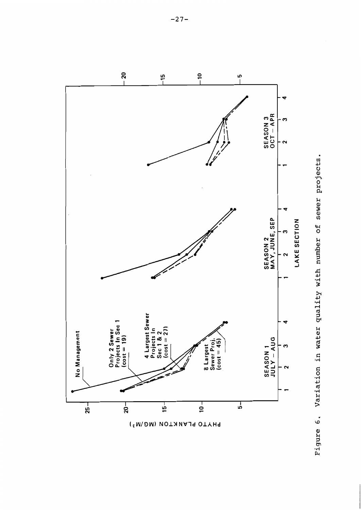

Variation in water quality with number of sewer projects. Figure 6.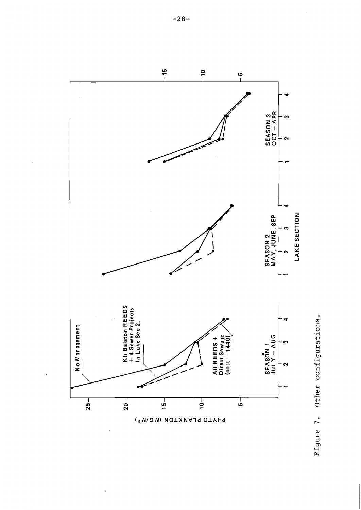



 $-28-$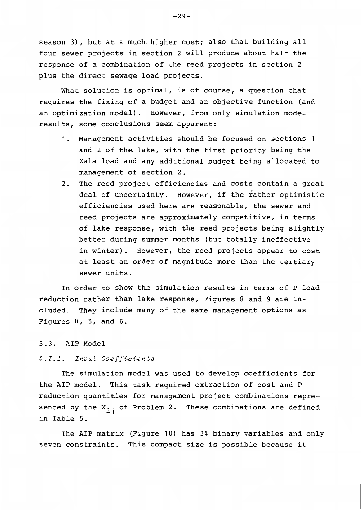season 3), but at a much higher cost; also that building all four sewer projects in section 2 will produce about half the response of a combination of the reed projects in section 2 plus the direct sewage load projects.

What solution is optimal, is of course, a question that requires the fixing of a budget and an objective function (and an optimization model). However, from only simulation model results, some conclusions seem apparent:

- 1. Management activities should be focused on sections 1 and 2 of the lake, with the first priority being the Zala load and any additional budget being allocated to management of section 2.
- 2. The reed project efficiencies and costs contain a great deal of uncertainty. However, if the rather optimistic efficiencies used here are reasonable, the sewer and reed projects are approximately competitive, in terms of lake response, with the reed projects being slightly better during summer months (but totally ineffective in winter). However, the reed projects appear to cost at least an order of magnitude more than the tertiary sewer units.

In order to show the simulation results in terms of P load reduction rather than lake response, Figures 8 and 9 are included. They include many of the same management options as Figures  $4, 5, and 6.$ 

# 5.3. AIP Model

# 5.3.1. Input Coefficients

The simulation model was used to develop coefficients for the AIP model. This task required extraction of cost and P reduction quantities for management project combinations represented by the  $X_{i,j}$  of Problem 2. These combinations are defined in Table 5.

The AIP matrix (Figure 10) has 34 binary variables and only seven constraints. This compact size is possible because it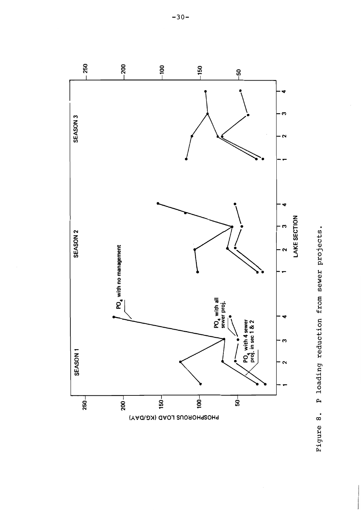

P loading reduction from sewer projects. Figure 8.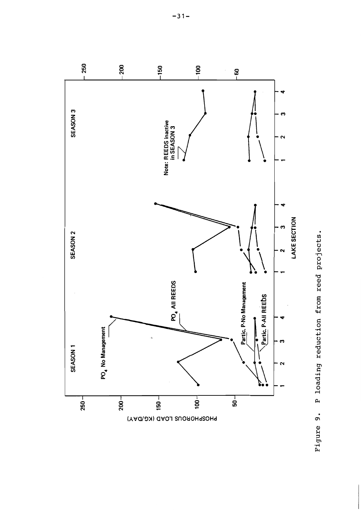

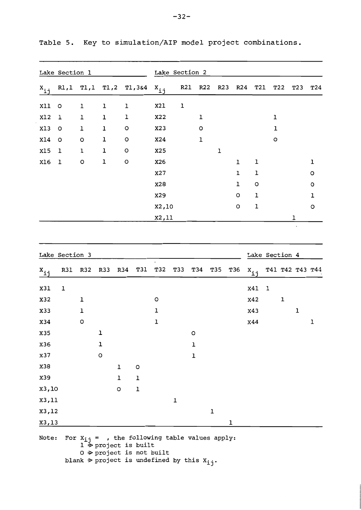|                                  | Lake Section 1 |      |     |                                                                                                                                                                                          |           | Lake Section 2 |                 |                 |     |                |   |     |                 |     |
|----------------------------------|----------------|------|-----|------------------------------------------------------------------------------------------------------------------------------------------------------------------------------------------|-----------|----------------|-----------------|-----------------|-----|----------------|---|-----|-----------------|-----|
| $x_{\underline{i}\underline{j}}$ | R1,1           | T1,1 |     | T1,2 T1,3&4                                                                                                                                                                              | $x_{i,j}$ | R21            | R <sub>22</sub> | R <sub>23</sub> | R24 | T21            |   | T22 | T <sub>23</sub> | T24 |
| Xll                              | $\circ$        | ı    | ı   | ı                                                                                                                                                                                        | X21       | ı              |                 |                 |     |                |   |     |                 |     |
| X12                              | ı              | ı    | ı   | 1                                                                                                                                                                                        | X22       |                | ı               |                 |     |                | ı |     |                 |     |
| X13                              | $\circ$        | ı    | ı   | $\circ$                                                                                                                                                                                  | X23       |                | o               |                 |     |                | ı |     |                 |     |
| X14                              | $\circ$        | o    | ı   | o                                                                                                                                                                                        | X24       |                | 1               |                 |     |                | o |     |                 |     |
| X15                              | 1              | 1    | ı   | o                                                                                                                                                                                        | X25       |                |                 | 1               |     |                |   |     |                 |     |
| X16                              | ı              | O    | ı   | O                                                                                                                                                                                        | X26       |                |                 |                 | ı   | ı              |   |     |                 | 1   |
|                                  |                |      |     |                                                                                                                                                                                          | X27       |                |                 |                 | ı   | ı              |   |     |                 | O   |
|                                  |                |      |     |                                                                                                                                                                                          | X28       |                |                 |                 | ı   | O              |   |     |                 | O   |
|                                  |                |      |     |                                                                                                                                                                                          | X29       |                |                 |                 | О   | ı              |   |     |                 | ı   |
|                                  |                |      |     |                                                                                                                                                                                          | X2,10     |                |                 |                 | O   | ı              |   |     |                 | O   |
|                                  |                |      |     |                                                                                                                                                                                          | X2,11     |                |                 |                 |     |                |   |     | ı               |     |
|                                  |                |      |     |                                                                                                                                                                                          |           |                |                 |                 |     |                |   |     | $\cdot$         |     |
|                                  | Lake Section 3 |      |     |                                                                                                                                                                                          |           |                |                 |                 |     | Lake Section 4 |   |     |                 |     |
| $x_{ij}$                         | <b>R31</b>     | R32  | R33 | R34<br>T31                                                                                                                                                                               | T32       | T33            | T34             | T35             | T36 | $x_{i,j}$      |   |     | T41 T42 T43 T44 |     |
| X31                              | ı              |      |     |                                                                                                                                                                                          |           |                |                 |                 |     | <b>X41</b>     | 1 |     |                 |     |
| X32                              |                | ı    |     |                                                                                                                                                                                          | $\circ$   |                |                 |                 |     | x42            |   | ı   |                 |     |
| X33                              |                | ı    |     |                                                                                                                                                                                          | 1         |                |                 |                 |     | X43            |   |     | ı               |     |
| X34                              |                | o    |     |                                                                                                                                                                                          | ı         |                |                 |                 |     | x44            |   |     |                 | ı   |
| X35                              |                |      | ı   |                                                                                                                                                                                          |           |                | o               |                 |     |                |   |     |                 |     |
| X36                              |                |      | ı   |                                                                                                                                                                                          |           |                | ı               |                 |     |                |   |     |                 |     |
| X37                              |                |      | О   |                                                                                                                                                                                          |           |                | ı               |                 |     |                |   |     |                 |     |
| X38                              |                |      |     | ı<br>o                                                                                                                                                                                   |           |                |                 |                 |     |                |   |     |                 |     |
| X39                              |                |      |     | ı<br>1                                                                                                                                                                                   |           |                |                 |                 |     |                |   |     |                 |     |
| x3,10                            |                |      |     | ı<br>o                                                                                                                                                                                   |           |                |                 |                 |     |                |   |     |                 |     |
| x3,11                            |                |      |     |                                                                                                                                                                                          |           | ı              |                 |                 |     |                |   |     |                 |     |
| x3,12                            |                |      |     |                                                                                                                                                                                          |           |                |                 | ı               |     |                |   |     |                 |     |
| <u>x3,13</u>                     |                |      |     |                                                                                                                                                                                          |           |                |                 |                 | ı   |                |   |     |                 |     |
| Note:                            |                |      |     | For $x_{i,j}$ = , the following table values apply:<br>$1 \geq$ project is built<br>$0 \Rightarrow$ project is not built<br>blank $\Rightarrow$ project is undefined by this $x_{i,j}$ . |           |                |                 |                 |     |                |   |     |                 |     |

Table 5. Key to simulation/AIP model project combinations.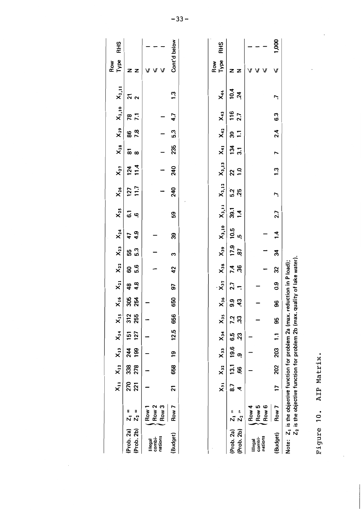|                                     |                                                                                                                                                                                    | $x_{11}$       | $X_{12}$   | $\ddot{x}$        | $X_{14}$              | $X_{15}$        | $x_i$      | $x_{21}$           | $X_{22}$  | $X_{23}$        | $X_{24}$              | $X_{25}$    | $X_{26}$    | $X_{27}$                | $X_{28}$         | $X_{29}$  | $X_{2,10}$       | $X_{2,11}$ | Type<br>Row  | RHS        |
|-------------------------------------|------------------------------------------------------------------------------------------------------------------------------------------------------------------------------------|----------------|------------|-------------------|-----------------------|-----------------|------------|--------------------|-----------|-----------------|-----------------------|-------------|-------------|-------------------------|------------------|-----------|------------------|------------|--------------|------------|
| (Prob. 2b)<br>(Prob. 2a)            | $Z_2 =$<br>H<br>ผี                                                                                                                                                                 | 270<br>221     | 338<br>278 | 199<br>244        | 127<br>$\overline{5}$ | 255<br>312      | 305<br>254 | 4.8<br>48          | 5.6<br>8  | 5.3<br>55       | $\ddot{a}$<br>47      | 5<br>Ģ.     | 11.7<br>127 | 11.4<br>$\overline{24}$ |                  | 86<br>7.8 | <b>78</b><br>7.1 |            | z<br>z       |            |
| nations<br>combi-<br><b>Illegal</b> | Row <sub>3</sub><br>Row <sub>2</sub><br>Row 1                                                                                                                                      |                |            |                   |                       |                 |            |                    |           |                 |                       |             |             |                         |                  |           |                  |            | V<br>V       |            |
| (Budget)                            | Row 7                                                                                                                                                                              | $\overline{2}$ | 658        | <b>91</b>         | 12.5                  | 656             | 650        | 97                 | 42        | M               | 39                    | 59          | 240         | 240                     | 235              | 5.3       | 4.7              | 1.3        | Cont'd below |            |
|                                     |                                                                                                                                                                                    |                |            |                   |                       |                 |            |                    |           |                 |                       |             |             |                         |                  |           |                  |            |              |            |
|                                     |                                                                                                                                                                                    | λ,             | $X_{32}$   | $X_{33}$          | $X_{34}$              | x <sub>35</sub> | $x_{36}$   | $\frac{1}{x_{37}}$ | $X_{38}$  | x <sub>39</sub> | $X_{3,10}$ $X_{3,11}$ |             | $X_{3,12}$  | $X_{3,13}$              | $X_{41}$         | $X_{42}$  | $X_{43}$         | $X_{44}$   | Type<br>Row  | <b>RHS</b> |
| (Prob. 2a)<br>(Prob. 2b)            | $\mathsf{I}$<br>I<br>Z,<br>Z,                                                                                                                                                      | 8.7<br>4       | 13.1<br>86 | 19.6<br><u>ဇာ</u> | 6.5<br>23             | 7.2<br>33       | 9.9<br>43  | 2.7                | 36<br>7.4 | 17.9<br>87      | 10.5<br><u>ي</u>      | 39.1<br>1.4 | 5.2<br>25   | $22$<br>1.0             | $\frac{34}{3.1}$ | Ξ<br>39   | 116<br>2.7       | 10.4<br>24 | z<br>z       |            |
| nations<br>combi-<br>lllegal        | Row 6<br>Row 5<br>Row 4                                                                                                                                                            |                |            |                   |                       |                 |            |                    |           |                 |                       |             |             |                         |                  |           |                  |            |              |            |
| (Budget)                            | Row 7                                                                                                                                                                              | 17             | 202        | 203               | $\mathbf{r}$          | 95              | 96         | 0.9                | 32        | 34              | 14                    | 2.7         | Ľ           | 1.3                     | $\overline{ }$   | 2.4       | 6.3              | Ņ          |              | 000        |
|                                     | Z <sub>2</sub> is the objective function for problem 2b (max. quality of lake water).<br>Note: Z <sub>1</sub> is the objective function for problem 2a (max. reduction in P load); |                |            |                   |                       |                 |            |                    |           |                 |                       |             |             |                         |                  |           |                  |            |              |            |

Figure 10. AIP Matrix.

 $-33-$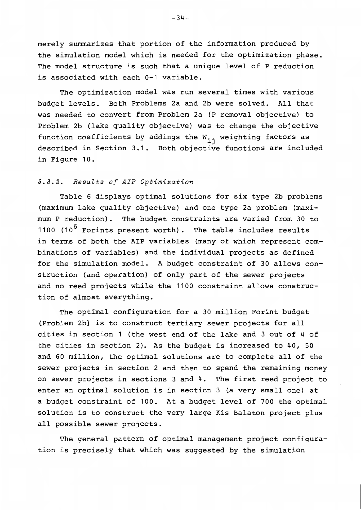merely summarizes that portion of the information produced by the simulation model which is needed for the optimization phase. The model structure is such that a unique level of P reduction is associated with each 0-1 variable.

The optimization model was run several times with various budget levels. Both Problems 2a and 2b were solved. All that was needed to convert from Problem 2a (P removal objective) to Problem 2b (lake quality objective) was to change the objective function coefficients by addings the  $W_{i,j}$  weighting factors as described in Section 3.1. Both objective functions are included in Figure 10.

# 5.3.2. Results of AIP Optimization

Table 6 displays optimal solutions for six type 2b problems (maximum lake quality objective) and one type 2a problem (maximum P reduction). The budget constraints are varied from 30 to 1100  $(10^6$  Forints present worth). The table includes results in terms of both the AIP variables (many of which represent combinations of variables) and the individual projects as defined for the simulation model. A budget constraint of 30 allows construction (and operation) of only part of the sewer projects and no reed projects while the 1100 constraint allows construction of almost everything.

The optimal configuration for a 30 million Forint budget (Problem 2b) is to construct tertiary sewer projects for all cities in section 1 (the west end of the lake and 3 out of 4 of the cities in section 2). As the budget is increased to 40, 50 and 60 million, the optimal solutions are to complete all of the sewer projects in section 2 and then to spend the remaining money on sewer projects in sections 3 and 4. The first reed project to enter an optimal solution is in section 3 (a very small one) at a budget constraint of 100. At a budget level of 700 the optimal solution is to construct the very large Kis Balaton project plus all possible sewer projects.

The general pattern of optimal management project configuration is precisely that which was suggested by the simulation

 $-34-$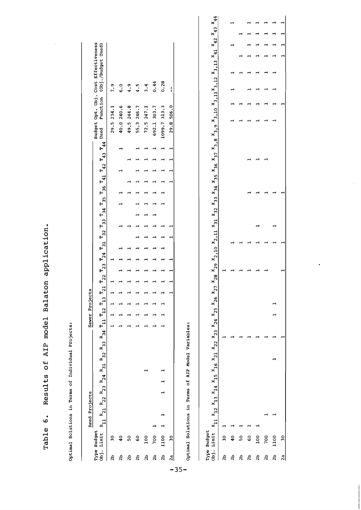|                |                           |                                                    | Reed Projects                                                                                                        |                                                                                  |  |  |  | Sewer Projects |                   |                   |          |                   |                               |          |          |          |          |          |          |          |          |          |                                                                                                                                                                                                                      |          |                     |                    |  |          |
|----------------|---------------------------|----------------------------------------------------|----------------------------------------------------------------------------------------------------------------------|----------------------------------------------------------------------------------|--|--|--|----------------|-------------------|-------------------|----------|-------------------|-------------------------------|----------|----------|----------|----------|----------|----------|----------|----------|----------|----------------------------------------------------------------------------------------------------------------------------------------------------------------------------------------------------------------------|----------|---------------------|--------------------|--|----------|
| $\frac{1}{6}$  | Type Budget<br>Limit      | $R_{11}$ $R_{21}$                                  |                                                                                                                      | $R_{22}$ $R_{23}$ $R_{24}$ $R_{31}$ $R_{32}$ $R_{33}$ $R_{34}$ $T_{11}$ $T_{12}$ |  |  |  |                | $\mathbf{r}_{13}$ | $\mathbf{r}_{21}$ | $T_{22}$ | $\mathbf{r}_{23}$ | $\mathbf{r}_{31}$<br>$T_{24}$ | $T_{32}$ | $T_{33}$ | $T_{34}$ | $T_{35}$ | $T_{36}$ | $T_{41}$ | $T_{42}$ | $T_{43}$ | $T_{44}$ | Budget Opt. Obj. Cost Effectiveness<br>Used                                                                                                                                                                          | Function |                     | (Obj./Budget Used) |  |          |
| 2b             | $\overline{30}$           |                                                    |                                                                                                                      |                                                                                  |  |  |  |                |                   |                   |          |                   |                               |          |          |          |          |          |          |          |          |          | 29.5 234.1                                                                                                                                                                                                           |          | 7.9                 |                    |  |          |
| 2b             | $\ddot{•}$                |                                                    |                                                                                                                      |                                                                                  |  |  |  |                |                   |                   |          |                   |                               |          |          |          |          |          |          |          |          |          | 40.0 240.6                                                                                                                                                                                                           |          | $\ddot{\bullet}$ .0 |                    |  |          |
| 2b             | 50                        |                                                    |                                                                                                                      |                                                                                  |  |  |  |                |                   |                   |          |                   |                               |          |          |          |          |          |          |          |          |          | 49.5 244.8                                                                                                                                                                                                           |          | 4.9                 |                    |  |          |
| 2b             | $\overline{6}$            |                                                    |                                                                                                                      |                                                                                  |  |  |  |                |                   |                   |          |                   |                               |          |          |          |          |          |          |          |          |          | 55.3 246.7                                                                                                                                                                                                           |          | 4.5                 |                    |  |          |
| $\mathbf{a}$   | 100                       |                                                    |                                                                                                                      |                                                                                  |  |  |  |                |                   |                   |          |                   |                               |          |          |          |          |          |          |          |          |          | 72.5 247.1                                                                                                                                                                                                           |          | 3.4                 |                    |  |          |
| 2 <sub>b</sub> | 700                       |                                                    |                                                                                                                      |                                                                                  |  |  |  |                |                   |                   |          |                   |                               |          |          |          |          |          |          |          |          |          | 692.1 303.7                                                                                                                                                                                                          |          | 0.44                |                    |  |          |
| 2 <sub>b</sub> | 1100                      |                                                    |                                                                                                                      |                                                                                  |  |  |  |                |                   |                   |          |                   |                               |          |          |          |          |          |          |          |          |          | 1099.7 313.3                                                                                                                                                                                                         |          | 0.28                |                    |  |          |
| 2a             | $\overline{30}$           |                                                    |                                                                                                                      |                                                                                  |  |  |  |                |                   | ⊣                 |          |                   |                               |          |          |          |          |          |          |          |          |          | 29.8                                                                                                                                                                                                                 | 506.0    | ł                   |                    |  |          |
|                |                           | Optimal Solutions in Terms of AIP Model Variables: |                                                                                                                      |                                                                                  |  |  |  |                |                   |                   |          |                   |                               |          |          |          |          |          |          |          |          |          |                                                                                                                                                                                                                      |          |                     |                    |  |          |
| 0bj.           | Type Budget<br>Limit      |                                                    | $x_{11}$ $x_{12}$ $x_{13}$ $x_{14}$ $x_{15}$ $x_{16}$ $x_{21}$ $x_{22}$ $x_{23}$ $x_{24}$ $x_{25}$ $x_{26}$ $x_{27}$ |                                                                                  |  |  |  |                |                   |                   |          |                   |                               |          |          |          |          |          |          |          |          |          | $x_{28} \; x_{29} \; x_{2,10} \; x_{2,11} \; x_{31} \; x_{32} \; x_{33} \; x_{34} \; x_{35} \; x_{36} \; x_{37} \; x_{3,8} \; x_{3,9} \; x_{3,10} \; x_{3,11} \; x_{3,12} \; x_{3,13} \; x_{41} \; x_{42} \; x_{43}$ |          |                     |                    |  | $x_{44}$ |
| a <sub>2</sub> | $\overline{\phantom{0}}$  |                                                    |                                                                                                                      |                                                                                  |  |  |  |                |                   |                   |          |                   |                               |          |          |          |          |          |          |          |          |          |                                                                                                                                                                                                                      |          |                     |                    |  |          |
| $\mathbf{a}$   | $\overline{\phantom{a}}$  |                                                    |                                                                                                                      |                                                                                  |  |  |  |                |                   |                   |          |                   |                               |          |          |          |          |          |          |          |          |          |                                                                                                                                                                                                                      |          |                     |                    |  |          |
| a <sub>2</sub> | ${\tt S}$                 |                                                    |                                                                                                                      |                                                                                  |  |  |  |                |                   |                   |          |                   |                               |          |          |          |          |          |          |          |          |          |                                                                                                                                                                                                                      |          |                     |                    |  |          |
| 2 <sub>b</sub> | $\mathsf{S}^{\mathsf{O}}$ |                                                    |                                                                                                                      |                                                                                  |  |  |  |                |                   |                   |          |                   |                               |          |          |          |          |          |          |          |          |          |                                                                                                                                                                                                                      |          |                     |                    |  |          |
| 2b             | 100                       |                                                    |                                                                                                                      |                                                                                  |  |  |  |                |                   |                   |          |                   |                               |          |          |          |          |          |          |          |          |          |                                                                                                                                                                                                                      |          |                     |                    |  |          |
| 2b             | 700                       |                                                    |                                                                                                                      |                                                                                  |  |  |  |                |                   |                   |          |                   |                               |          |          |          |          |          |          |          |          |          |                                                                                                                                                                                                                      |          |                     |                    |  |          |

Results of AIP model Balaton application.

Table 6.

 $\overline{\phantom{a}}$  $\overline{a}$ 

 $\overline{a}$  $\rightarrow$  $\rightarrow$ 

 $\overline{\phantom{0}}$ 

 $\rightarrow$ 

 $\overline{\phantom{0}}$ 

 $\overline{a}$ 

 $\overline{a}$  $\overline{a}$ 

 $\overline{a}$ 

 $\rightarrow$ 

 $\overline{a}$  $\overline{a}$ 

 $\overline{\phantom{a}}$  $\overline{a}$ 

 $\overline{\phantom{a}}$ 

 $\rightarrow$ 

1100<br>30

 $\begin{vmatrix} 2a \\ -a \end{vmatrix}$ 

÷

 $\hat{\mathcal{L}}$ 

 $-35-$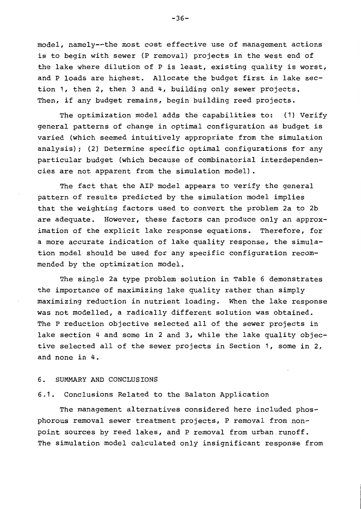model, namely--the most cost effective use of management actions is to begin with sewer (P removal) projects in the west end of the lake where dilution of P is least, existing quality is worst, and P loads are highest. Allocate the budget first in lake section 1, then 2, then 3 and 4, building only sewer projects. Then, if any budget remains, begin building reed projects.

The optimization model adds the capabilities to: (1) Verify general patterns of change in optimal configuration as budget is varied (which seemed intuitively appropriate from the simulation analysis); (2) Determine specific optimal configurations for any particular budget (which because of combinatorial interdependencies are not apparent from the simulation model).

The fact that the AIP model appears to verify the general pattern of results predicted by the simulation model implies that the weighting factors used to convert the problem 2a to 2b are adequate. However, these factors can produce only an approximation of the explicit lake response equations. Therefore, for a more accurate indication of lake quality response, the simulation model should be used for any specific configuration recommended by the optimization model.

The single 2a type problem solution in Table 6 demonstrates the importance of maximizing lake quality rather than simply maximizing reduction in nutrient loading. When the lake response was not modelled, a radically different solution was obtained. The P reduction objective selected all of the sewer projects in lake section 4 and some in 2 and 3, while the lake quality objective selected all of the sewer projects in Section 1, some in 2, and none in 4.

#### 6. SUMMARY AND CONCLUSIONS

# 6.1. Conclusions Related to the Balaton Application

The management alternatives considered here included phosphorous removal sewer treatment projects, P removal from nonpoint sources by reed lakes, and P removal from urban runoff. The simulation model calculated only insignificant response from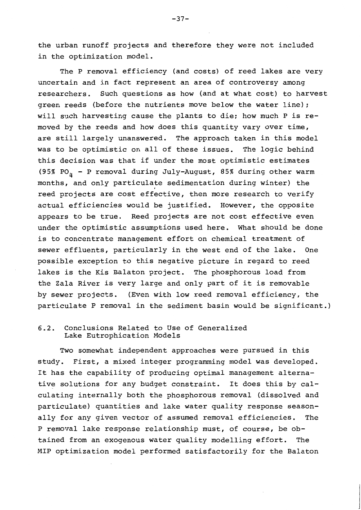the urban runoff projects and therefore they were not included in the optimization model.

The P removal efficiency (and costs) of reed lakes are very uncertain and in fact represent an area of controversy among researchers. Such questions as how (and at what cost) to harvest green reeds (before the nutrients move below the water line); will such harvesting cause the plants to die; how much P is removed by the reeds and how does this quantity vary over time, are still largely unanswered. The approach taken in this model was to be optimistic on all of these issues. The logic behind this decision was that if under the most optimistic estimates (95% PO<sub>n</sub> - P removal during July-August, 85% during other warm months, and only particulate sedimentation during winter) the reed projects are cost effective, then more research to verify actual efficiencies would be justified. However, the opposite appears to be true. Reed projects are not cost effective even under the optimistic assumptions used here. What should be done is to concentrate management effort on chemical treatment of sewer effluents, particularly in the west end of the lake. One possible exception to this negative picture in regard to reed lakes is the Kis Balaton project. The phosphorous load from the Zala River is very large and only part of it is removable by sewer projects. (Even with low reed removal efficiency, the particulate P removal in the sediment basin would be significant.)

#### Conclusions Related to Use of Generalized  $6.2.$ Lake Eutrophication Models

Two somewhat independent approaches were pursued in this study. First, a mixed integer programming model was developed. It has the capability of producing optimal management alternative solutions for any budget constraint. It does this by calculating internally both the phosphorous removal (dissolved and particulate) quantities and lake water quality response seasonally for any given vector of assumed removal efficiencies. The P removal lake response relationship must, of course, be obtained from an exogenous water quality modelling effort. The MIP optimization model performed satisfactorily for the Balaton

 $-37-$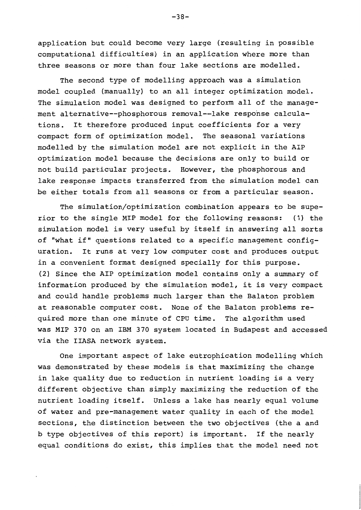application but could become very large (resulting in possible computational difficulties) in an application where more than three seasons or more than four lake sections are modelled.

The second type of modelling approach was a simulation model coupled (manually) to an all integer optimization model. The simulation model was designed to perform all of the management alternative--phosphorous removal--lake response calcula-It therefore produced input coefficients for a very tions. compact form of optimization model. The seasonal variations modelled by the simulation model are not explicit in the AIP optimization model because the decisions are only to build or not build particular projects. However, the phosphorous and lake response impacts transferred from the simulation model can be either totals from all seasons or from a particular season.

The simulation/optimization combination appears to be superior to the single MIP model for the following reasons: (1) the simulation model is very useful by itself in answering all sorts of "what if" questions related to a specific management configuration. It runs at very low computer cost and produces output in a convenient format designed specially for this purpose. (2) Since the AIP optimization model contains only a summary of information produced by the simulation model, it is very compact and could handle problems much larger than the Balaton problem at reasonable computer cost. None of the Balaton problems required more than one minute of CPU time. The algorithm used was MIP 370 on an IBM 370 system located in Budapest and accessed via the IIASA network system.

One important aspect of lake eutrophication modelling which was demonstrated by these models is that maximizing the change in lake quality due to reduction in nutrient loading is a very different objective than simply maximizing the reduction of the nutrient loading itself. Unless a lake has nearly equal volume of water and pre-management water quality in each of the model sections, the distinction between the two objectives (the a and b type objectives of this report) is important. If the nearly equal conditions do exist, this implies that the model need not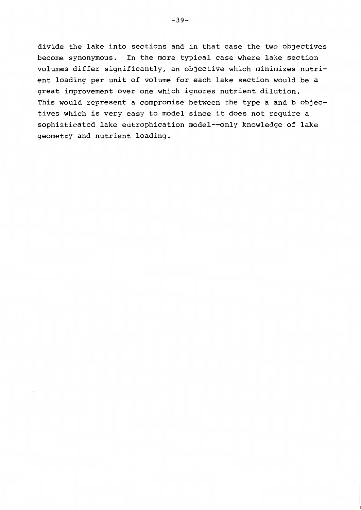divide the lake into sections and in that case the two objectives become synonymous. In the more typical case where lake section volumes differ significantly, an objective which minimizes nutrient loading per unit of volume for each lake section would be a great improvement over one which ignores nutrient dilution. This would represent a compromise between the type a and b objectives which is very easy to model since it does not require a sophisticated lake eutrophication model--only knowledge of lake geometry and nutrient loading.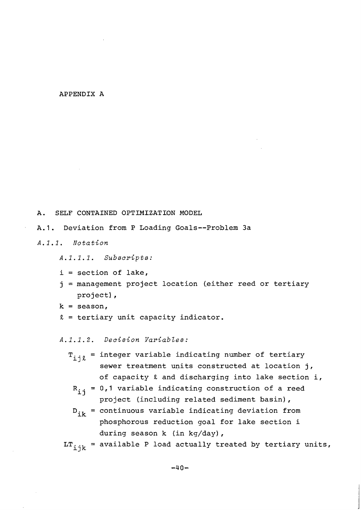## APPENDIX A

#### SELF CONTAINED OPTIMIZATION MODEL A.

 $A.1.$ Deviation from P Loading Goals--Problem 3a

 $A, 1, 1,$ Notation

A.1.1.1. Subscripts:

- $i = section of lake,$
- j = management project location (either reed or tertiary project),
- $k =$  season,
- $\ell$  = tertiary unit capacity indicator.

A.1.1.2. Decision Variables:

- $T_{i,j\ell}$  = integer variable indicating number of tertiary sewer treatment units constructed at location j, of capacity  $\ell$  and discharging into lake section i,
	- $R_{i,i}$  = 0,1 variable indicating construction of a reed project (including related sediment basin),
	- $D_{i\mathbf{k}}$  = continuous variable indicating deviation from phosphorous reduction goal for lake section i during season k (in kg/day),

 $LT_{iik}$  = available P load actually treated by tertiary units,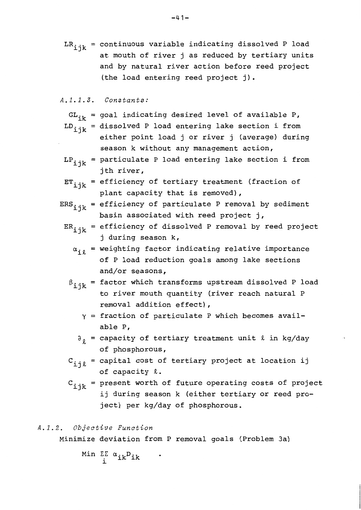# $A.1.1.3.$  Constants:

- $GL_{ik}$  = goal indicating desired level of available P,
- $LD_{iik}$  = dissolved P load entering lake section i from
	- either point load j or river j (average) during season k without any management action,
- $LP_{iik}$  = particulate P load entering lake section i from jth river,
- $ET_{ijk}$  = efficiency of tertiary treatment (fraction of plant capacity that is removed),
- $ERS_{\texttt{ijk}}$  = efficiency of particulate P removal by sediment basin associated with reed project j,
	- $ER_{ijk}$  = efficiency of dissolved P removal by reed project j during season k,
		- $\alpha_{i\ell}$  = weighting factor indicating relative importance of P load reduction goals among lake sections and/or seasons,
		- $\beta_{ijk}$  = factor which transforms upstream dissolved P load to river mouth quantity (river reach natural P removal addition effect),
			- $\gamma$  = fraction of particulate P which becomes available P.
			- $\partial_{\theta}$  = capacity of tertiary treatment unit  $\ell$  in kg/day of phosphorous,
		- $C_{\text{i}j\ell}$  = capital cost of tertiary project at location ij of capacity  $\ell$ .
		- $C_{\text{ijk}}$  = present worth of future operating costs of project ij during season k (either tertiary or reed project) per kg/day of phosphorous.

# A.1.2. Objective Function

Minimize deviation from P removal goals (Problem 3a)

$$
\begin{array}{cl}\mathtt{Min} & \Sigma\Sigma & \alpha_{ik}D_{ik} \\ i & \end{array}
$$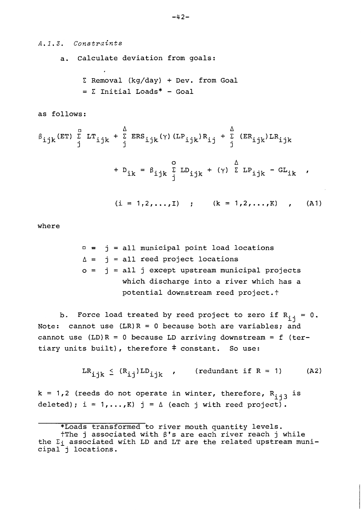# A.1.3. Constraints

a. Calculate deviation from goals:

 $\Sigma$  Removal (kg/day) + Dev. from Goal  $= \sum$  Initial Loads\* - Goal

as follows:

$$
\beta_{ijk}(\text{ET}) \sum_{j}^{B} LT_{ijk} + \sum_{j}^{A}ERS_{ijk}(\gamma) (LP_{ijk})R_{ij} + \sum_{j}^{A} (ER_{ijk})LR_{ijk}
$$
  
+ 
$$
D_{ik} = \beta_{ijk} \sum_{j}^{C} LD_{ijk} + (\gamma) \sum_{k}^{A} LP_{ijk} - GL_{ik}
$$
  

$$
(i = 1, 2, ..., I) ; \qquad (k = 1, 2, ..., K) , \qquad (A1)
$$

where

 $=$   $j =$  all municipal point load locations  $\Delta = i$  = all reed project locations  $o = j = all j except upstream municipal projects$ which discharge into a river which has a potential downstream reed project.t

b. Force load treated by reed project to zero if  $R_{i,j} = 0$ . Note: cannot use  $(LR)R = 0$  because both are variables; and cannot use  $(LD)R = 0$  because LD arriving downstream = f (tertiary units built), therefore # constant. So use:

> $LR_{ijk} \leq (R_{ij})LD_{ijk}$ , (redundant if R = 1)  $(A2)$

 $k = 1, 2$  (reeds do not operate in winter, therefore,  $R_{i,j}$  is deleted); i = 1,..., K) j =  $\Delta$  (each j with reed project).

<sup>\*</sup>Loads transformed to river mouth quantity levels. †The j associated with β's are each river reach j while the  $\Sigma_i$  associated with LD and LT are the related upstream municipal j locations.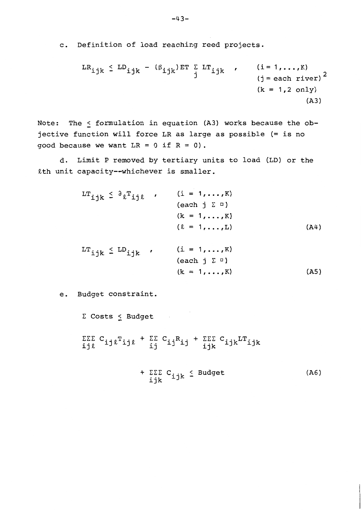c. Definition of load reaching reed projects.

$$
LR_{ijk} \le LD_{ijk} - (\beta_{ijk})ET \sum_{j} LT_{ijk}, \qquad (i = 1, ..., K)
$$
  
(j = each river)<sup>2</sup>  
(k = 1, 2 only)  
(A3)

Note: The < formulation in equation (A3) works because the objective function will force LR as large as possible (= is no good because we want  $LR = 0$  if  $R = 0$ ).

d. Limit P removed by tertiary units to load (LD) or the &th unit capacity--whichever is smaller.

| $LT_{ijk} \leq \partial_k T_{ijk}$ ,                   | $(i = 1, , K)$                  |      |
|--------------------------------------------------------|---------------------------------|------|
|                                                        | $\{each \ j \ \Sigma \ \cup\}$  |      |
|                                                        | $(k = 1, , K)$                  |      |
|                                                        | $(2 = 1, \ldots, L)$            | (A4) |
| $\text{LT}_{\text{i}jk} \leq \text{LD}_{\text{i}jk}$ , | $(i = 1, , K)$                  |      |
|                                                        | $\{each \ j \ \Sigma \ \cup \}$ |      |
|                                                        | $(k = 1, , K)$                  | (A5) |

e. Budget constraint.

 $\Sigma$  Costs  $\leq$  Budget  $\begin{array}{ccccccc}\Sigma\Sigma\Sigma&C_{\texttt{i}j\ell}\texttt{T}_{\texttt{i}j\ell} & +&\Sigma\Sigma&C_{\texttt{i}j}\texttt{R}_{\texttt{i}j} & +&\Sigma\Sigma\Sigma&C_{\texttt{i}jk}\texttt{L}\texttt{T}_{\texttt{i}jk}\end{array}$ 

$$
+ \Sigma \Sigma C_{ijk} \leq \text{Budget} \tag{A6}
$$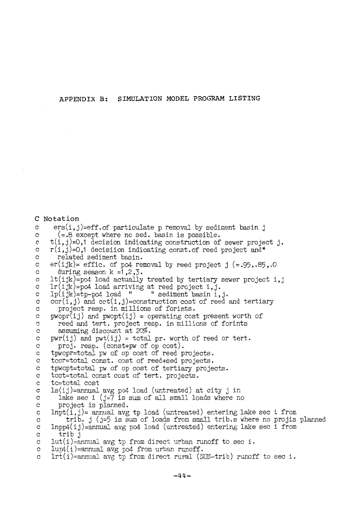SIMULATION MODEL PROGRAM LISTING APPENDIX B:

```
C Notation
      ers(i, j) = eff.of particulate p removal by sediment basin j
\mathbf{c}(= .8 except where no sed. basin is possible.
\mathbf{C}t(i,j)=0,1 decision indicating construction of sewer project j.
\mathbf{c}r(i, j)=0,1 decisiion indicating const. of reed project and*
\mathbf crelated sediment basin.
\mathbf{C}\mathbf{c}er(ijk) = effic. of po4 removal by reed project j (= .95, .85, .0)during season k = 1, 2, 3.
\mathbf clt(ijk) = po4 load actually treated by tertiary sewer project i, j
\mathbf{c}\mathbf{c}lr(ijk)=po4 load arriving at reed project i, j.
     lp(ijk)=tp-po4 load "
                                   " sediment basin i, j.
\mathbf{c}ccr(i,j) and ct(i,j)=construction cost of reed and tertiary
\mathbf{c}project resp. in millions of forints.
\mathbf{c}\mathbf cp_{\text{wopr}}(i j) and p_{\text{wopt}}(i j) = operating cost present worth of
       reed and tert. project resp. in millions of forints
\mathbf{c}\mathbf{c}assuming discount at 20%.
\ddot{c}pwr(ij) and pwt(ij) = total pr. worth of reed or tert.
\mathbf{c}proj. resp. (const+pw of op cost).
     tpwopr=total pw of op cost of reed projects.
\mathbf c\mathbf ctccr=total const. cost of reed+sed projects.
\mathbf{c}tpwopt=total pw of op cost of tertiary projects.
     tcct=total const cost of tert. projects.
\mathbf ctc=total cost
\mathbf cls(ij)=\n    annual avg po4 load (untreated) at city j in\n    lake sec i (j=7 is sum of all small loads where no\n   \mathbf{c}\mathbf c\mathbf{c}project is planned.
\mathbf{c}lnpt(i, j)= annual avg tp load (untreated) entering lake sec i from
          trib. j (j=5 is sum of loads from small trib.s where no projis planned
\rm{c}\text{Input}(i,j)=annual avg po4 load (untreated) entering lake sec i from
\mathbf{c}trib j
\mathbf{C}lut(i)=annual avg tp from direct urban runoff to sec i.
\mathbf{C}lwp(1)=annual avg po4 from urban runoff.
\mathbf{C}lrt(i)=annual avg tp from direct rural (NON-trib) runoff to sec i.
\mathbf{c}
```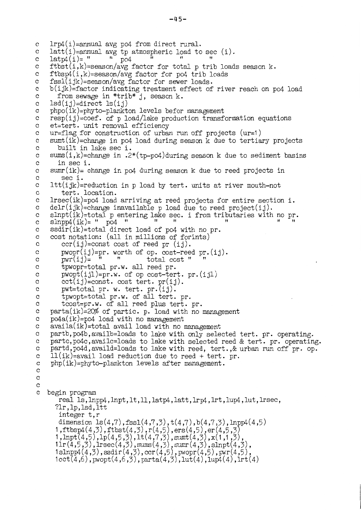```
lrp4(i)=annual avg po4 from direct rural.
\mathbf{c}latt(i)=annual avg tp atmosphereic load to sec (i).\mathbf{c}\mathbf{u}latp4(i)= "
                                                  ^{\prime}\mathbf cp04
     ftbst(i,k)=season/avg factor for total p trib loads season k.
\mathbf c\mathbf{C}ftbsp4(i,k)=season/avg factor for po4 trib loadsfssl(ijk)=season/avg factor for server loads.\rm ^c\rm ^cb(ijk)=factor indicating treatment effect of river reach on po4 load
\mathbf{c}from sewage in *trib* j, season k.
     lsd(ij)=direct ls(ij)\mathbf{C}\mathbf cphpo(ik)=phyto-plankton levels befor management
     resp(ij)=coef. of p load/lake production transformation equations
\mathbf{C}et=tert. unit removal efficiency
\mathbf cur=flag for construction of urban run off projects (ur=1)
\mathbf c\mathbf{c}sumt(ik)=change in po4 load during season k due to tertiary projects
\mathbf cbuilt in lake sec i.
     sums(i,k)=change in .2*(tp-po4)during season k due to sediment basins
\mathbf{c}in sec i.
\mathbf c\mathbf{c}sumr(ik) - change in po4 during season k due to reed projects in
_{\rm c}sec i.
     It (ijk)=reduction in p load by tert. units at river mouth-not
\rm ^c\mathbf{c}tert. location.
     lrsec(ik)=po4 load arriving at reed projects for entire section i.
\mathbf c\mathbf cdelr(ijk)=change inavailable p load due to reed project(ij).
     slnpt(ik)=total p entering lake sec. i from tributaries with no pr.
\mathbf{c}\mathbf{H}slnpp4(ik) = " po4"\mathbf c\mathbf cssdir(ik)=total direct load of po4 with no pr.
     cost notation: (all in millions of forints)
\mathbf{C}\mathbf cccr(ij)=const cost of reed pr (ij).
\mathbf cpwopr(ij)=pr. worth of op. cost-reed pr.(ij).
                            ^{\dagger}\mathbf{c}pwr(ij) =\bar{\mathbf{u}}total cost "
         tpwopr=total pr.w. all reed pr.
\mathbf{C}p_{\text{wopt}}(ij)=pr.w. of op cost-tert. pr. (ijl)
\mathbf{c}cct(ij)=const. cost tert. pr(ij).
\mathbf cpwt=total pr. w. tert. pr.(ij).\mathbf{C}tpwopt=total pr.w. of all tert. pr.
\mathbf{C}\mathbf ctcost=pr.w. of all reed plus tert. pr.
\mathbf cparta(ik)=20\% of partic. p. load with no management
\overline{c}po4a(ik)=po4 load with no management
     a</math>valid(ik)=total avail load with no management\mathbf c\mathbf cpartb, po4b, availb=loads to lake with only selected tert. pr. operating.
\mathbf cpartc, po4c, availc=loads to lake with selected reed & tert. pr. operating.
     partd, po4d, availd=loads to lake with reed, tert., & urban run off pr. op.
\rm ^c11(ik)=avail load reduction due to reed + tert. pr.
\mathbf{c}php(ik)=phyto-plankton levels after management.
\mathbf c\mathbf c\mathbf{c}\mathbf{C}\mathbf{c}begin program
        real 1s, lnpp4, lnpt, 1t, 11, latp4, latt, lrp4, lrt, lup4, lut, lrsec,
       ?lr, 1p, 1sd, 1tt
        integer t, r
        dimension ls(4,7), fssl(4,7,3), t(4,7), b(4,7,3), lnpp4(4,5)1, ftbsp4(4,3), ftbst(4,3), r(4,5), ers(4,5), er(4,5,3)<br>1, lnpt(4,5), lp(4,5,3), lt(4,7,3), sumt(4,3), x(1,1,3),<br>1lr(4,5,3), lrsec(4,3), sums(4,3), sumr(4,3), x(1,1,3),<br>1lr(4,5,3), lrsec(4,3), sums(4,3), sumr(4,3), slnpt(
```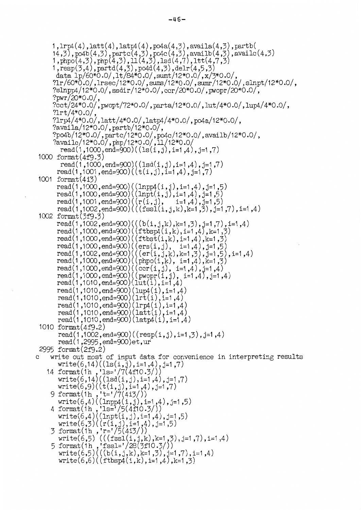$-46-$ 

```
1, \text{lrp4}(4), \text{latt}(4), \text{latp4}(4), \text{po4a}(4,3), \text{available}(4,3), \text{partb}(5)14,3), po4b(4,3), partc(4,3), po4c(4,3), availb(4,3), availc(4,3)<br>1, phpo(4,3), php(4,3), 11(4,3), lsd(4,7), ltt(4,7,3)
      1, \text{resp}(3,4), \text{partd}(4,3), \text{po4d}(4,3), \text{delr}(4,5,3)data 1p/60*0.0/1t/84*0.0/, sumt/12*0.0/, x/3*0.0/,
       ?1r/60*0.0/,1rsec/12*0.0/,sums/12*0.0/,sumr/12*0.0/,slnpt/12*0.0/,
       ?slnpp4/12*0.0/,ssdir/12*0.0/,ccr/20*0.0/,pwopr/20*0.0/,
       ?pwr/20*0.0/,
       ?cct/24*0.0/, pwopt/72*0.0/, parta/12*0.0/, lut/4*0.0/, lup4/4*0.0/,
       ?1rt/4*0.0/,
       ?lrp4/4*0.0/, latt/4*0.0/, latp4/4*0.0/, po4a/12*0.0/,
       ?availa/12*0.0/, partb/12*0.0/,
       ?po4b/12*0.0/,partc/12*0.0/,po4c/12*0.0/,availb/12*0.0/,
       ?availc/12*0.0/, php/12*0.0/, 11/12*0.0/read(1,1000, \text{end} = 900)((1s(i,j), i=1,4), j=1,7)1000 format (4f9.3)
          read(1,1000,end=900)((1sd(i,j),i=1,4),j=1,7)read(1,1001,end=900)((t(i,j), i=1,4), j=1,7)
 1001 format(4i3)read(1,1000,end=900)((lnpp4(i,j),i=1,4),j=1,5)<br>read(1,1000,end=900)((lnpt(i,j),i=1,4),j=1,5)
        read(1,1001,end=900)((r(i,j), i=1,4), j=1,5)
        read(1,1002,end=900)(((fssl(i,j,k),k=1,3),j=1,7),i=1,4)
 1002 format(3f9.3)
        read(1,1002,end=900)(((b(i,j,k),k=1,3),j=1,7),i=1,4)<br>read(1,1000,end=900)((ftbsp4(i,k),i=1,4),k=1,3)<br>read(1,1000,end=900)((ftbsp4(i,k),i=1,4),k=1,3)
        read(1,1000,end=900)((1tbst(1,k),1=1,4),k=1,5)<br>read(1,1000,end=900)((ers(i,j), i=1,4),j=1,5)<br>read(1,1002,end=900)(((er(i,j,k),k=1,3),j=1,5),i=1,4)<br>read(1,1000,end=900)((phpo(i,k), i=1,4),k=1,3)<br>read(1,1000,end=900)((ccr(i
        read(1,1010,end=900)(lup(1), i=1,4)
         read(1,1010,end=900)(1rt(i), i=1,4)
         read(1,1010,end=900)(lrp4(i), i=1,4)<br>read(1,1010,end=900)(latt(i), i=1,4)
         read(1,1010, end=900)(latp4(i), i=1,4)1010 format(4f9.2)read(1,1002,end=900)((resp(i,j),i=1,3),j=1,4)
         read(1,2995, end=900)et, ur2995 format (2f9.2)
     write out most of input data for convenience in interpreting results
\mathbf{C}write(6,14)((ls(i,j),i=1,4),j=1,7)14 format(1h, 'ls='/7(4f10.3/))<br>write(6,14)((1sd(i,j), i=1,4), j=1,7)
         write(6,9)((t(i,j), i=1,4), j=1,7)
     write(6,9)((t(i,j),i=1,4),j=1,7)<br>
9 format(1h,'t='/7(4i3/))<br>
write(6,4)((lnpp4(i,j),i=1,4),j=1,5)<br>
4 format(1h,'ls='/5(4f10.3/))<br>
write(6,4)((lnpt(i,j),i=1,4),j=1,5)<br>
write(6,3)((r(i,j),i=1,4),j=1,5)<br>
3 format(1h,'r='/5(4
         write(6,6)((ftbsp4(i,k),i=1,4),k=1,3)
```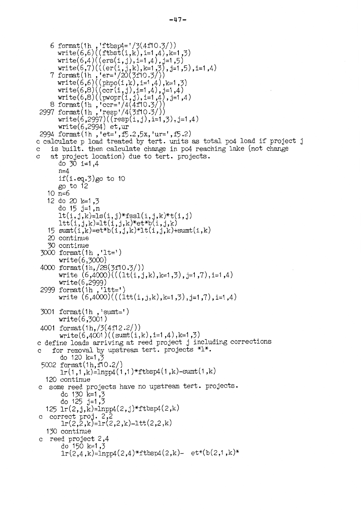```
6 format(1h,, 'ftbsp4='/3(4f10.3/))
      write(6,6)((ftbst(i,k),i=1,4),k=1,3)write(6,4)((\text{ers}(i,j), i=1,4), j=1,5)
    write(6,7)(((er(i,j,k),k=1,3),j=1,5),i=1,4)<br>
7 format(1h,'er='/20(3f10.3/))<br>
write(6,6)((phpo(i,k),i=1,4),k=1,3)
write(6,8)((ccr(i,j),i=1,4),j=1,4)<br>write(6,8)((ccr(i,j),i=1,4),j=1,4)<br>write(6,8)((pwopr(i,j),i=1,4),j=1,4)<br>8 format(1h,'ccr='/4(4f10.3/))<br>2997 format(1h,'resp'/4(3f10.3/))<br>write(6,2997)((resp(i,j),i=1,3),j=1,4)
       write(6,2994) et, ur2994 format(1h, 'et=', f5.2,5x, 'ur=', f5.2)
c calculate p load treated by tert. units as total po4 load if project j
    is built. then calculate change in po4 reaching lake (not change
\mathbf Cat project location) due to tert. projects.
\mathbf{C}do 30 i=1,4
       n=4if(i.eq.3)go to 10
       go to 12
   10 n=612 do 20 k=1,3
       do 15 j=1, n
       lt(i,j,k)=ls(i,j)*fssl(i,j,k)*t(i,j)ltt(i,j,k)=lt(i,j,k)*et*b(i,j,k)15 sumt(i,k)=et*b(i,j,k)*lt(i,j,k)+sumt(i,k)
   20 continue
   30 continue
 3000 format(1h, 'lt=')
       write(6,3000)4000 format(1h,/28(3f10.3/))
       write (6,4000)((1t(i,j,k),k=1,3),j=1,7),i=1,4)write(6,2999)
 2999 format(1h, 'ltt=')
       write (6,4000)((1tt(i,j,k),k=1,3),j=1,7),i=1,4)3001 format(1h, 'sumt=')write(6,3001)4001 format(1h, 7(4f12.2))write(6,4001)((sunt(i,k),i=1,4),k=1,3)c define loads arriving at reed project j including corrections
     for removal by upstream tert. projects *1*.<br>do 120 k=1,3
\Omega5002 format(1h, f10.2/)
       lr(1,1,k)=lnpp4(1,1)*ftbsp4(1,k)-sunt(1,k)120 continue
  some reed projects have no upstream tert. projects.
\mathbf{C}do 130 k=1,3<br>do 125 j=1,3
   125 lr(2, j, k) = lnpp4(2, j) * ftbsp4(2, k)correct proj. 2,2
        lr(2,2,k)=lr(2,2,k)-ltt(2,2,k)130 continue
c reed project 2,4
        do 150 k=1,3
        lr(2,4,k)=lnpp4(2,4)*ftbsp4(2,k)- et*(b(2,1,k)*
```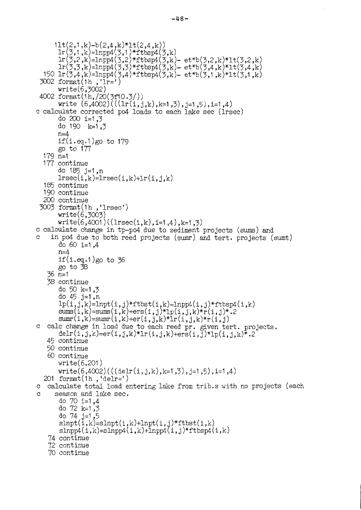```
11t(2,1,k)-b(2,4,k)*1t(2,4,k)lr(3,1,k)=lnpp4(3,1)*ftbsp4(3,k)lr(3,2,k)=1npp4(3,2)*ftbsp4(3,k)-et*b(3,2,k)*1t(3,2,k)\text{Tr}(3,3,k) = \text{Inpp4}(3,3)*\text{Itbsp4}(3,k) - \text{et*b}(3,4,k)*\text{It}(3,4,k)<br>150 lr(3,4,k)=lnpp4(3,4)*ftbsp4(3,k)- et*b(3,4,k)*lt(3,4,k)
 3002 format(1h, i\bar{1}r =')
      write(6,3002)4002 format(1h,/20(3f10.3/))
      write (6,4002)((1r(i,j,k),k=1,3),j=1,5),i=1,4)c calculate corrected po4 loads to each lake sec (lrsec)
      do 200 i=1.3
      do 190 k=1.3
      n=4if(i.eq.1)go to 179
      go to 177
  179 n=1177 continue
      do 185 j=1, n
      lrsec(i,k)=lrsec(i,k)+lr(i,j,k)185 continue
  190 continue
  200 continue
 3003 format(1h, 'lrsec')
      write(6,3003)write(6,4001)((1rsec(i,k),i=1,4),k=1,3)c calculate change in tp-po4 due to sediment projects (sums) and
    in po4 due to both reed projects (sumr) and tert. projects (sumt)
      do 60 i=1.4
      n=4if(i.eq.1)go to 36
      go to 38
   36 n=138 continue
      do 50 k=1,3
      do 45 j=1, n
      lp(i,j,k)=l\nup(t,j)*ftbst(i,k)-l\nupp4(i,j)*ftbsp4(i,k)sums(i,k)=sums(i,k)+ers(i,j)*1p(i,j,k)*r(i,j)*.2sum(i,k)=sum(i,k)+er(i,j,k)*Tr(i,j,k)*r(i,j)c calc change in load due to each reed pr. given tert. projects.
      delr(i,j,k)=er(i,j,k)*lr(i,j,k)+ers(i,j)*lp(i,j,k)*.245 continue
   50 continue
   60 continue
      write(6,201)write(6,4002)(((delr(i,j,k),k=1,3),j=1,5),i=1,4)201 format(1h, 'delr=')
c calculate total load entering lake from trib.s with no projects (each
     season and lake sec.
\Omegado 70 i=1,4
      do 72 k=1,3
      do 74 j=1,5
       \text{slnpt}(i,k) = \text{slnpt}(i,k) + \text{lnpt}(i,j) * \text{ftbst}(i,k)\text{slnpp4}(i,k) = \text{slnpp4}(i,k) + \text{lnpp4}(i,j) * \text{ftbsp4}(i,k)74 continue
   72 continue
   70 continue
```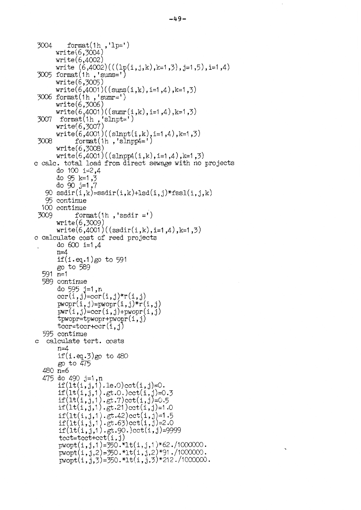```
3004
          format(1h, l_{\text{p}} )
      write(6,3004)write(6,4002)write (6,4002)(( (1p(i,j,k),k=1,3),j=1,5),i=1,4)3005 format(1h, 'sums=')write(6,3005)
      write(6,4001)((sums(i,k),i=1,4),k=1,3)3006 format(1h, 'sumr=')write(6,3006)write(6,4001)((sum(i,k),i=1,4),k=1,3)format(1h, 'slnpt=')3007
      write(6,3007)write(6,4001)((slnpt(i,k), i=1,4), k=1,3)
3008
            format(1h, 'slnpp4=')
      write(6,3008)write(6,4001)((slnpp4(i,k),i=1,4),k=1,3)c calc. total load from direct sewage with no projects
      do 100 i=2.4
      do 95 k=1,3
      do 90 j=1,790 ssdir(i,k)=ssdir(i,k)+lsd(i,j)*fssl(i,j,k)95 continue
  100 continue
 3009
            format(1h, 'ssdir =')
      write(6,3009)write(6,4001)((ssdir(i,k),i=1,4),k=1,3)c calculate cost of reed projects
      do 600 i=1,4
      n=4if(i.eq.1)go to 591
      go to 589
  591 \ \text{m} = 1589 continue
      do 595 j=1,n<br>ccr(i,j)=ccr(i,j)*r(i,j)
      p w o p r(i, j) = p w o p r(i, j) * r(i, j)pwr(i, j) = ccr(i, j) + pwopr(i, j)tpwopr=tpwopr+pwopr(i,j)\text{tccr}=\text{tccr}+\text{ccr}(i, j)595 continue
c calculate tert. costs
      n=4if(i.eq.3)go to 480
      go to 475
  480 n=6
  475 do 490 j=1,n
       if(lt(i,j,1).le.0) cct(i,j)=0.if(lt(i,j,1).gt.0.)cct(i,j)=0.3if(lt(i,j,1).gt.7) cct(i,j)=0.5if (it(i, j, 1), gt.21) cot(i, j) = 1.0if(lt(i,j,1),gt.42)ct(i,j)=1.5if(lt(i,j,1).gt.63) cct(i,j)=2.0if(lt(i,j,1).gt.90.)cct(i,j)=9999tcct = tcct + cct(i,j)p_{\text{wopt}}(i,j,1)=350.*1t(i,j,1)*62./1000000.
       p_{\text{wopt}}(i,j,2) = 350 \cdot 10^{2} (i,j,2) \cdot 91 \cdot 1000000.
       \text{pwopt}(i,j,3) = 350 \cdot 10^{10} (i,j,3) * 212 \cdot 1000000.
```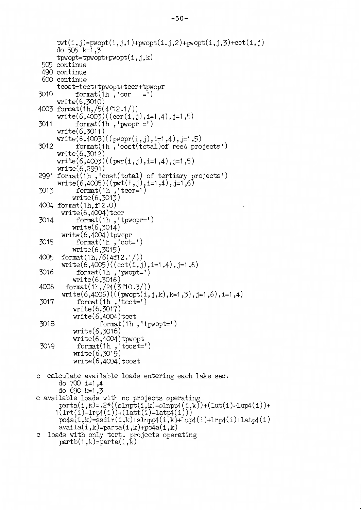```
{\rm pwt}(i,j)={\rm pwopt}(i,j,1)+{\rm pwopt}(i,j,2)+{\rm pwopt}(i,j,3)+{\rm cct}(i,j)do 505 k=1.3tpwopt=tpwopt+pwopt(i, j, k)505 continue
 490 continue
 600 continue
      tcost=tcct+tpwopt+tccr+tpwopr
3010
            format(1h, 'cor)=')
      write(6, 3010)4003 format(1h,/5(4f12.1/))
      write(6,4003)((cert(i,j),i=1,4),j=1,5)format(1h,'pwopr =')
3011
      write(6, 3011)write(6,4003)((power(i,j),i=1,4),j=1,5)format(1h, 'cost(total)of reed projects')
3012
      write(6, 3012)write(6,4003)((pwr(i,j), i=1,4), j=1,5)
      write(6, 2991)2991 format(1h, 'cost(total) of tertiary projects')<br>write(6,4005)((pwt(i,j), i=1,4), j=1,6)<br>3013 format(1h, 'tccr=')
           write(6, 3013)4004 format (1h, f12.0)
        write(6,4004)tccr
           format(1h, 'tpwopr=')<br>write(6,3014)
 3014
        write(6,4004)tpwopr
 3015
            format(1h, 'cct=')write(6,3015)format(1h, 6(4f12.1))4005
        write(6,4005)((cct(i,j),i=1,4),j=1,6)3016
             format(1h, 'pwopt=')write(6,3016)4006
         format(1h, 24(3f10.3))write(6,4006)(((\text{pwopt}(i,j,k),k=1,3),j=1,6),i=1,4)format(1h, \text{t} cct=')<br>write(6,3017)
 3017
           write(6,4004)tcct
 3018
                    format(1h, 'tpwopt=')
           write(6,3018)write(6,4004)tpwopt
            format(1h, 'tcost=')3019
           write(6, 3019)write(6,4004)tcost
c calculate available loads entering each lake sec.
       do 700 i=1.4
       do 690 k=1.3c available loads with no projects operating
      parta(i,k)=.2*(sInpt(i,k)-sInpp4(i,k))+(1ut(i)-1up4(i))+1(1rt(i)-1rp4(i))+(1att(i)-1atpt(i))po4a(i,k) = ssdir(i,k) + slnpp4(i,k) + lup4(i) + lrp4(i) + latp4(i)availa(i,k)=parta(i,k)+po4a(i,k)c loads with only tert. projects operating<br>partb(i,k)=parta(i,k)
```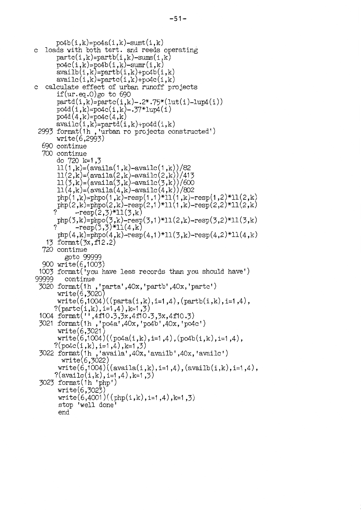```
po4b(i,k)=po4a(i,k)-sum(i,k)c loads with both tert. and reeds operating
      partc(i,k)=partb(i,k)-sums(i,k)po4c(i,k)=po4b(i,k)-sum(i,k)availb(i,k)=partb(i,k)+po4b(i,k)\alphavailc(i,k)=partc(i,k)+po4c(i,k)c calculate effect of urban runoff projects
      if(ur.eq.0)go to 690
      partd(i,k)=partc(i,k)-.2*.75*(1ut(i)-1un4(i))\text{pod4}(i,k) = \text{po4c}(i,k) - .37*1 \text{up4}(i)po4d(4, k)=po4c(4, k)\alphavailc(i,k)=partd(i,k)+po4d(i,k)2993 format (1h, 'urban ro projects constructed')
      write(6, 2993)690 continue
  700 continue
      do 720 k=1,3
      11(1,k)=(\text{available}(1,k)-\text{available}(1,k))/8211(2,k)=(\text{available}(2,k)-\text{available}(2,k))/41311(3,k) = (available(3,k) - available(3,k))/60011(4,k) = (available(4,k) - available(4,k))/802php(1,k)=phpo(1,k)-resp(1,1)*11(1,k)-resp(1,2)*11(2,k)php(2,k)=phpo(2,k)-resp(2,1)*11(1,k)-resp(2,2)*11(2,k)-resp(2,3)*11(3,k)php(3,k)=phpo(3,k)-resp(3,1)*11(2,k)-resp(3,2)*11(3,k)
            \text{--resp}(\bar{3}, \bar{3}) \text{+}11(4, k)php(4,k)=phpo(4,k)-resp(4,1)*11(3,k)-resp(4,2)*11(4,k)13 format(3x, f12.2)720 continue
         goto 99999
  900 write(6,1003)
 1003 format ('you have less records than you should have')
99999
         continue
 3020 format(1h, 'parta', 40x, 'partb', 40x, 'partc')
      write(6,3020)write(6,1004)((parta(i,k),i=1,4),(partb(i,k),i=1,4),
      ?(\text{partc}(i,k), i=1,4), k=1,3)1004 format('',4f10.3,3x,4f10.3,3x,4f10.3)
 3021 format(1h,'po4a',40x,'po4b',40x,'po4c')
       write(6, 3021)write(6,1004)((po4a(i,k), i=1,4), (po4b(i,k), i=1,4),
      ?(po4c(i,k), i=1,4), k=1,3)3022 format(ih, 'availa', 40x, 'availb', 40x, 'availc')
        write(6, 3022)write(6,1004)((availa(i,k), i=1,4), (availb(i,k), i=1,4),
      ?(availc(i,k), i=1,4), k=1,3)
 3023 format(1h 'php')write(6, 3023)write(6,4001)((php(i,k),i=1,4),k=1,3)stop 'well done'
       end
```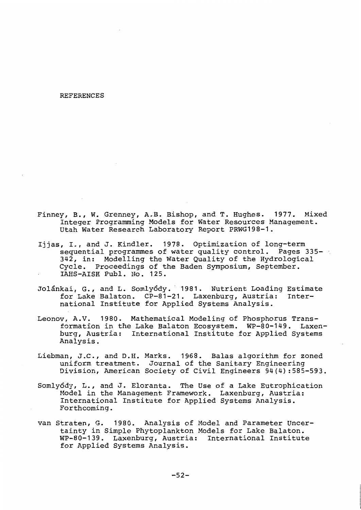#### **REFERENCES**

- Finney, B., W. Grenney, A.B. Bishop, and T. Hughes. 1977. Mixed Integer Programming Models for Water Resources Management. Utah Water Research Laboratory Report PRWG198-1.
- Ijjas, I., and J. Kindler. 1978. Optimization of long-term sequential programmes of water quality control. Pages 335-342, in: Modelling the Water Quality of the Hydrological Cycle. Proceedings of the Baden Symposium, September. IAHS-AISH Publ. No. 125.
- Jolánkai, G., and L. Somlyódy. 1981. Nutrient Loading Estimate for Lake Balaton. CP-81-21. Laxenburg, Austria: International Institute for Applied Systems Analysis.
- Leonov, A.V. 1980. Mathematical Modeling of Phosphorus Transformation in the Lake Balaton Ecosystem. WP-80-149. Laxenburg, Austria: International Institute for Applied Systems Analysis.
- Liebman, J.C., and D.H. Marks. 1968. Balas algorithm for zoned uniform treatment. Journal of the Sanitary Engineering Division, American Society of Civil Engineers 94(4):585-593.
- Somlyódy, L., and J. Eloranta. The Use of a Lake Eutrophication Model in the Management Framework. Laxenburg, Austria: International Institute for Applied Systems Analysis. Forthcoming.
- van Straten, G. 1980. Analysis of Model and Parameter Uncertainty in Simple Phytoplankton Models for Lake Balaton. WP-80-139. Laxenburg, Austria: International Institute for Applied Systems Analysis.